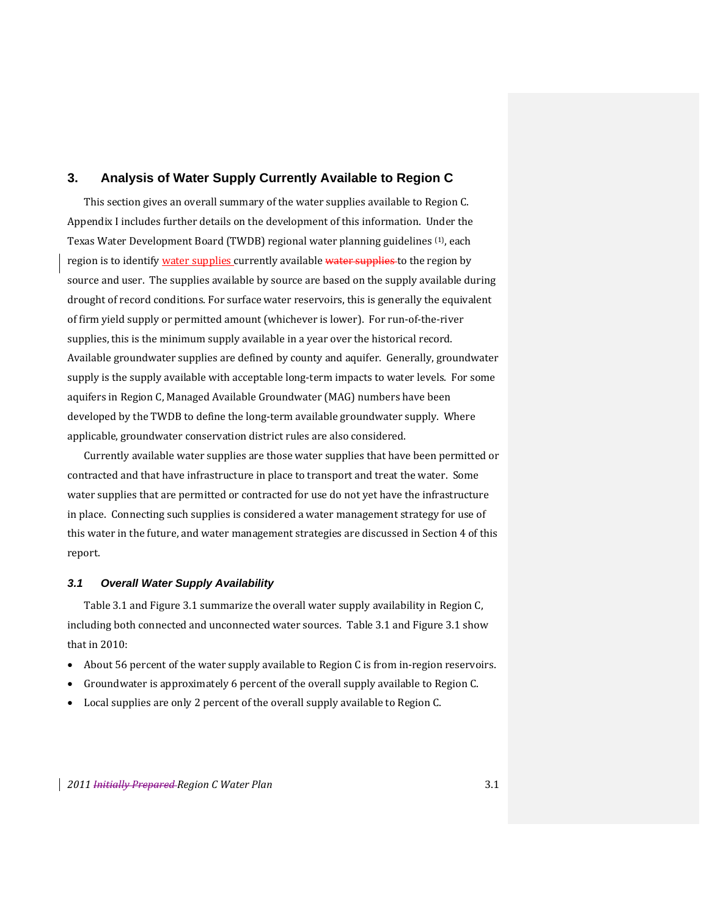## **3. Analysis of Water Supply Currently Available to Region C**

This section gives an overall summary of the water supplies available to Region C. Appendix I includes further details on the development of this information. Under the Texas Water Development Board (TWDB) regional water planning guidelines (1), each region is to identify water supplies currently available water supplies to the region by source and user. The supplies available by source are based on the supply available during drought of record conditions. For surface water reservoirs, this is generally the equivalent of firm yield supply or permitted amount (whichever is lower). For run‐of‐the‐river supplies, this is the minimum supply available in a year over the historical record. Available groundwater supplies are defined by county and aquifer. Generally, groundwater supply is the supply available with acceptable long-term impacts to water levels. For some aquifers in Region C, Managed Available Groundwater (MAG) numbers have been developed by the TWDB to define the long-term available groundwater supply. Where applicable, groundwater conservation district rules are also considered.

Currently available water supplies are those water supplies that have been permitted or contracted and that have infrastructure in place to transport and treat the water. Some water supplies that are permitted or contracted for use do not yet have the infrastructure in place. Connecting such supplies is considered a water management strategy for use of this water in the future, and water management strategies are discussed in Section 4 of this report.

#### *3.1 Overall Water Supply Availability*

Table 3.1 and Figure 3.1 summarize the overall water supply availability in Region C, including both connected and unconnected water sources. Table 3.1 and Figure 3.1 show that in 2010:

- ◆ About 56 percent of the water supply available to Region C is from in-region reservoirs.
- Groundwater is approximately 6 percent of the overall supply available to Region C.
- Local supplies are only 2 percent of the overall supply available to Region C.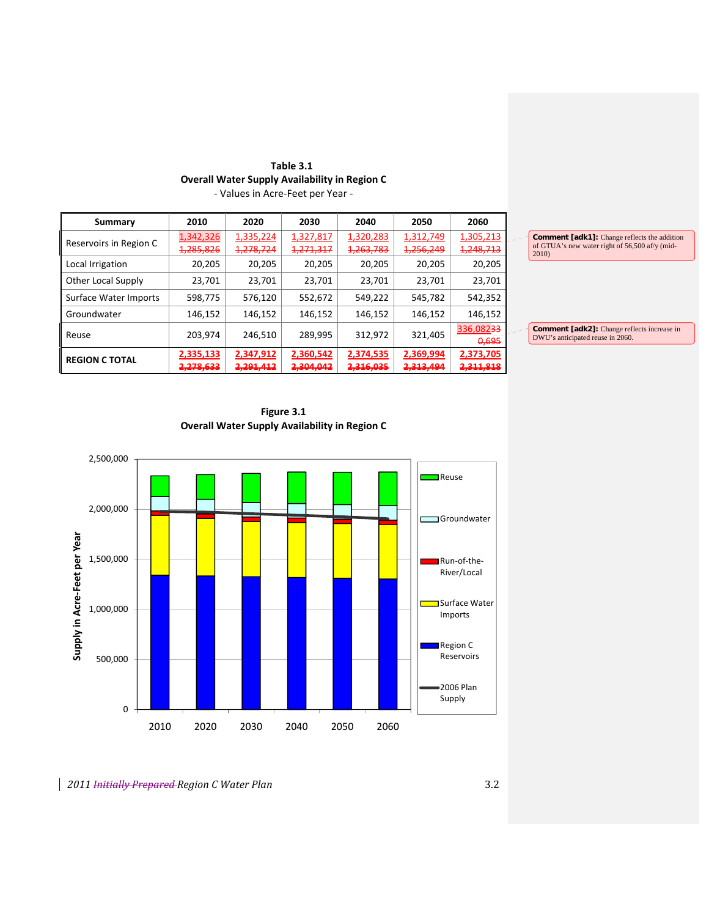| Table 3.1                                            |
|------------------------------------------------------|
| <b>Overall Water Supply Availability in Region C</b> |
| - Values in Acre-Feet per Year -                     |

| Summary                | 2010      | 2020      | 2030      | 2040      | 2050      | 2060                 |                                                         |
|------------------------|-----------|-----------|-----------|-----------|-----------|----------------------|---------------------------------------------------------|
| Reservoirs in Region C | 1,342,326 | 1,335,224 | 1,327,817 | 1,320,283 | 1,312,749 | 1,305,213            | <b>Comment [adk1]:</b> Change reflects the addition     |
|                        | 1,285,826 | 1,278,724 | 1,271,317 | 1,263,783 | 1,256,249 | 1,248,713            | of GTUA's new water right of 56,500 af/y (mid-<br>2010) |
| Local Irrigation       | 20,205    | 20,205    | 20,205    | 20,205    | 20,205    | 20,205               |                                                         |
| Other Local Supply     | 23,701    | 23,701    | 23,701    | 23,701    | 23,701    | 23,701               |                                                         |
| Surface Water Imports  | 598.775   | 576,120   | 552,672   | 549.222   | 545,782   | 542,352              |                                                         |
| Groundwater            | 146,152   | 146,152   | 146,152   | 146,152   | 146,152   | 146,152              |                                                         |
| Reuse                  | 203,974   | 246.510   | 289.995   | 312,972   | 321,405   | 336,08233            | <b>Comment</b> [adk2]: Change reflects increase in      |
|                        |           |           |           |           |           | 0,695                | DWU's anticipated reuse in 2060.                        |
| <b>REGION C TOTAL</b>  | 2,335,133 | 2,347,912 | 2,360,542 | 2,374,535 | 2,369,994 | 2,373,705            |                                                         |
|                        | 2,278,633 | 2,291,412 | 2,304,042 | 2,316,035 | 2,313,494 | <del>2,311,818</del> |                                                         |

**Figure 3.1 Overall Water Supply Availability in Region C**

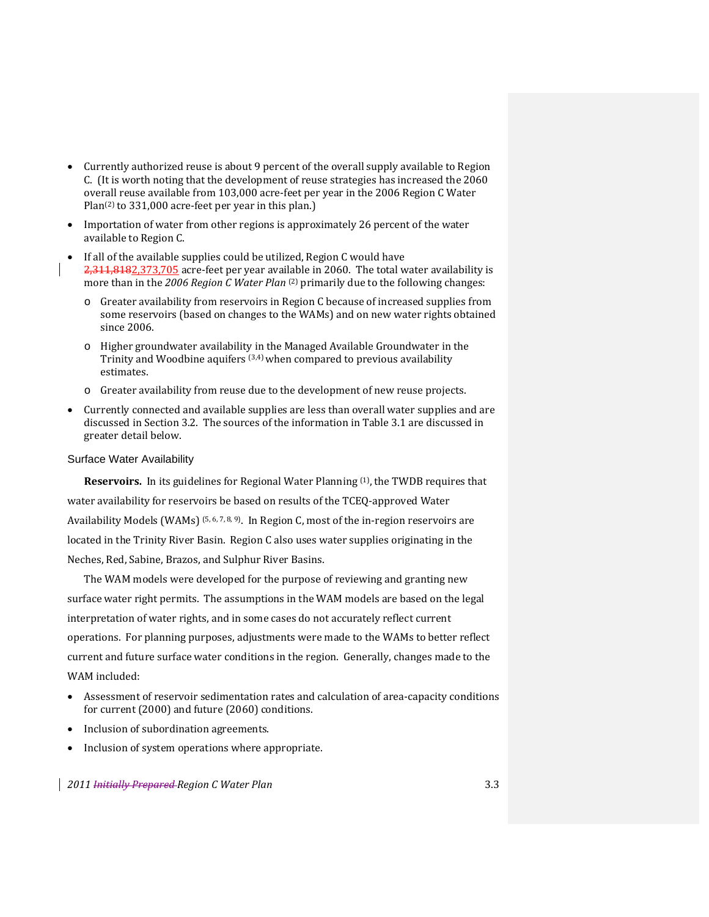- Currently authorized reuse is about 9 percent of the overall supply available to Region C. (It is worth noting that the development of reuse strategies has increased the 2060 overall reuse available from 103,000 acre‐feet per year in the 2006 Region C Water Plan<sup>(2)</sup> to 331,000 acre-feet per year in this plan.)
- Importation of water from other regions is approximately 26 percent of the water available to Region C.
- If all of the available supplies could be utilized, Region C would have 2,311,8182,373,705 acre-feet per year available in 2060. The total water availability is more than in the *2006 Region C Water Plan* (2) primarily due to the following changes:
	- Greater availability from reservoirs in Region C because of increased supplies from some reservoirs (based on changes to the WAMs) and on new water rights obtained since 2006.
	- o Higher groundwater availability in the Managed Available Groundwater in the Trinity and Woodbine aquifers (3,4) when compared to previous availability estimates.
	- o Greater availability from reuse due to the development of new reuse projects.
- Currently connected and available supplies are less than overall water supplies and are discussed in Section 3.2. The sources of the information in Table 3.1 are discussed in greater detail below.

#### Surface Water Availability

Reservoirs. In its guidelines for Regional Water Planning <sup>(1)</sup>, the TWDB requires that water availability for reservoirs be based on results of the TCEQ‐approved Water Availability Models (WAMs)  $(5, 6, 7, 8, 9)$ . In Region C, most of the in-region reservoirs are located in the Trinity River Basin. Region C also uses water supplies originating in the Neches, Red, Sabine, Brazos, and Sulphur River Basins.

The WAM models were developed for the purpose of reviewing and granting new surface water right permits. The assumptions in the WAM models are based on the legal interpretation of water rights, and in some cases do not accurately reflect current operations. For planning purposes, adjustments were made to the WAMs to better reflect current and future surface water conditions in the region. Generally, changes made to the WAM included:

- Assessment of reservoir sedimentation rates and calculation of area‐capacity conditions for current (2000) and future (2060) conditions.
- Inclusion of subordination agreements.
- Inclusion of system operations where appropriate.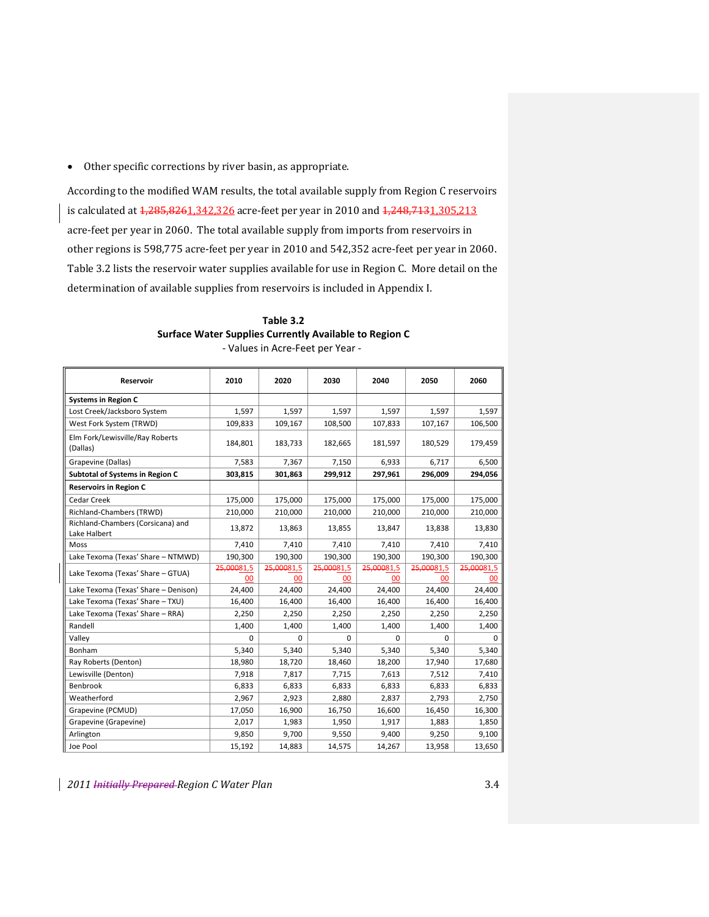Other specific corrections by river basin, as appropriate.

According to the modified WAM results, the total available supply from Region C reservoirs is calculated at  $1,285,8261,342,326$  acre-feet per year in 2010 and  $1,248,7131,305,213$ acre‐feet per year in 2060. The total available supply from imports from reservoirs in other regions is 598,775 acre‐feet per year in 2010 and 542,352 acre‐feet per year in 2060. Table 3.2 lists the reservoir water supplies available for use in Region C. More detail on the determination of available supplies from reservoirs is included in Appendix I.

| <b>Reservoir</b>                                  | 2010       | 2020       | 2030       | 2040       | 2050       | 2060       |
|---------------------------------------------------|------------|------------|------------|------------|------------|------------|
| <b>Systems in Region C</b>                        |            |            |            |            |            |            |
| Lost Creek/Jacksboro System                       | 1,597      | 1,597      | 1,597      | 1,597      | 1,597      | 1,597      |
| West Fork System (TRWD)                           | 109,833    | 109,167    | 108,500    | 107,833    | 107,167    | 106,500    |
| Elm Fork/Lewisville/Ray Roberts<br>(Dallas)       | 184,801    | 183,733    | 182,665    | 181,597    | 180,529    | 179,459    |
| Grapevine (Dallas)                                | 7,583      | 7,367      | 7,150      | 6,933      | 6,717      | 6,500      |
| Subtotal of Systems in Region C                   | 303,815    | 301,863    | 299,912    | 297,961    | 296,009    | 294,056    |
| <b>Reservoirs in Region C</b>                     |            |            |            |            |            |            |
| Cedar Creek                                       | 175,000    | 175,000    | 175,000    | 175,000    | 175,000    | 175,000    |
| Richland-Chambers (TRWD)                          | 210,000    | 210,000    | 210,000    | 210,000    | 210,000    | 210,000    |
| Richland-Chambers (Corsicana) and<br>Lake Halbert | 13,872     | 13,863     | 13,855     | 13,847     | 13,838     | 13,830     |
| Moss                                              | 7,410      | 7,410      | 7,410      | 7,410      | 7,410      | 7,410      |
| Lake Texoma (Texas' Share - NTMWD)                | 190,300    | 190,300    | 190,300    | 190,300    | 190,300    | 190,300    |
| Lake Texoma (Texas' Share - GTUA)                 | 25,00081,5 | 25,00081,5 | 25,00081,5 | 25,00081,5 | 25,00081,5 | 25,00081,5 |
|                                                   | 00         | 00         | 00         | 00         | $00 \,$    | 00         |
| Lake Texoma (Texas' Share - Denison)              | 24,400     | 24,400     | 24,400     | 24,400     | 24,400     | 24,400     |
| Lake Texoma (Texas' Share - TXU)                  | 16,400     | 16,400     | 16,400     | 16,400     | 16,400     | 16,400     |
| Lake Texoma (Texas' Share - RRA)                  | 2,250      | 2,250      | 2,250      | 2,250      | 2,250      | 2,250      |
| Randell                                           | 1,400      | 1,400      | 1,400      | 1,400      | 1,400      | 1,400      |
| Valley                                            | $\Omega$   | $\Omega$   | $\Omega$   | 0          | $\Omega$   | $\Omega$   |
| Bonham                                            | 5,340      | 5,340      | 5,340      | 5.340      | 5,340      | 5,340      |
| Ray Roberts (Denton)                              | 18,980     | 18,720     | 18,460     | 18,200     | 17,940     | 17,680     |
| Lewisville (Denton)                               | 7,918      | 7,817      | 7,715      | 7,613      | 7,512      | 7,410      |
| Benbrook                                          | 6,833      | 6,833      | 6,833      | 6,833      | 6,833      | 6,833      |
| Weatherford                                       | 2,967      | 2,923      | 2,880      | 2,837      | 2,793      | 2,750      |
| Grapevine (PCMUD)                                 | 17,050     | 16,900     | 16,750     | 16,600     | 16,450     | 16,300     |
| Grapevine (Grapevine)                             | 2,017      | 1,983      | 1,950      | 1,917      | 1,883      | 1,850      |
| Arlington                                         | 9,850      | 9,700      | 9,550      | 9,400      | 9,250      | 9,100      |
| Joe Pool                                          | 15,192     | 14,883     | 14,575     | 14,267     | 13,958     | 13,650     |

**Table 3.2 Surface Water Supplies Currently Available to Region C** ‐ Values in Acre‐Feet per Year ‐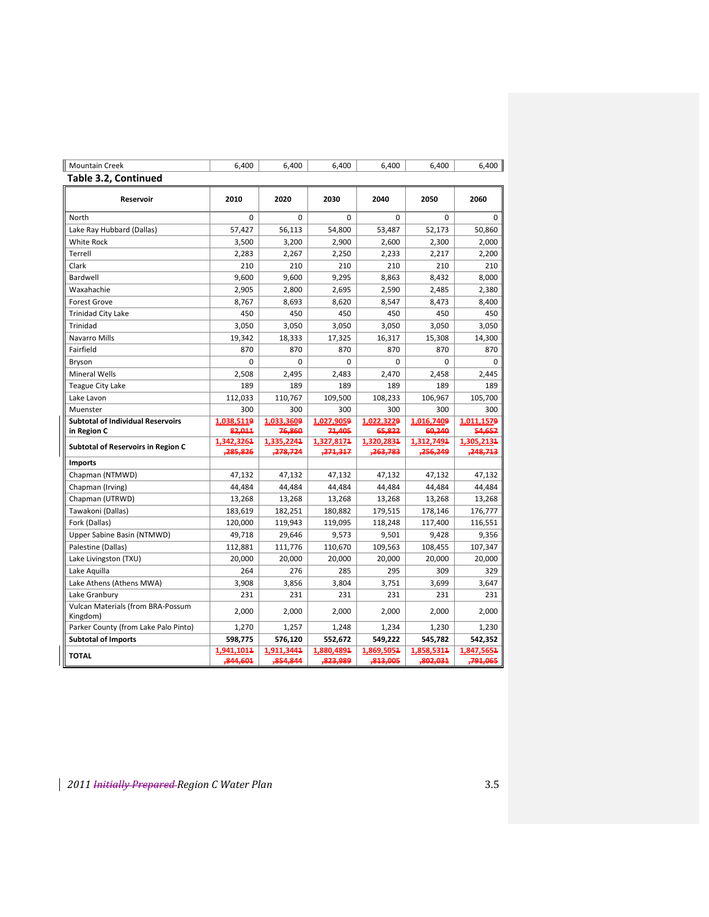| <b>Mountain Creek</b>                         | 6,400                  | 6,400                  | 6,400                  | 6,400                  | 6,400                 | 6,400                  |
|-----------------------------------------------|------------------------|------------------------|------------------------|------------------------|-----------------------|------------------------|
| <b>Table 3.2, Continued</b>                   |                        |                        |                        |                        |                       |                        |
| Reservoir                                     | 2010                   | 2020                   | 2030                   | 2040                   | 2050                  | 2060                   |
| North                                         | 0                      | 0                      | $\mathbf 0$            | $\mathbf 0$            | $\mathbf 0$           | $\Omega$               |
| Lake Ray Hubbard (Dallas)                     | 57,427                 | 56,113                 | 54,800                 | 53,487                 | 52,173                | 50,860                 |
| <b>White Rock</b>                             | 3,500                  | 3,200                  | 2,900                  | 2,600                  | 2,300                 | 2,000                  |
| Terrell                                       | 2,283                  | 2,267                  | 2,250                  | 2,233                  | 2,217                 | 2,200                  |
| Clark                                         | 210                    | 210                    | 210                    | 210                    | 210                   | 210                    |
| Bardwell                                      | 9,600                  | 9,600                  | 9,295                  | 8,863                  | 8,432                 | 8,000                  |
| Waxahachie                                    | 2,905                  | 2,800                  | 2,695                  | 2,590                  | 2,485                 | 2,380                  |
| <b>Forest Grove</b>                           | 8,767                  | 8,693                  | 8,620                  | 8,547                  | 8,473                 | 8,400                  |
| <b>Trinidad City Lake</b>                     | 450                    | 450                    | 450                    | 450                    | 450                   | 450                    |
| <b>Trinidad</b>                               | 3,050                  | 3,050                  | 3,050                  | 3,050                  | 3,050                 | 3,050                  |
| Navarro Mills                                 | 19,342                 | 18,333                 | 17,325                 | 16,317                 | 15,308                | 14,300                 |
| Fairfield                                     | 870                    | 870                    | 870                    | 870                    | 870                   | 870                    |
| Bryson                                        | 0                      | 0                      | 0                      | 0                      | 0                     | 0                      |
| <b>Mineral Wells</b>                          | 2,508                  | 2,495                  | 2,483                  | 2,470                  | 2,458                 | 2.445                  |
| <b>Teague City Lake</b>                       | 189                    | 189                    | 189                    | 189                    | 189                   | 189                    |
| Lake Lavon                                    | 112,033                | 110,767                | 109,500                | 108,233                | 106,967               | 105,700                |
| Muenster                                      | 300                    | 300                    | 300                    | 300                    | 300                   | 300                    |
| <b>Subtotal of Individual Reservoirs</b>      | 1,038,5119             | 1,033,3609             | 1,027,9059             | 1,022,3229             | 1,016,7409            | 1,011,1579             |
| in Region C                                   | 82,011                 | 76,860                 | 71,405                 | 65,822                 | 60,240                | 54,657                 |
| Subtotal of Reservoirs in Region C            | 1,342,3261             | 1,335,2244             | 1,327,8174             | 1,320,2834             | 1,312,7494            | 1,305,2134             |
|                                               | ,285,826               | ,278,724               | ,271,317               | ,263,783               | ,256,249              | ,248,713               |
| <b>Imports</b>                                |                        |                        |                        |                        |                       |                        |
| Chapman (NTMWD)                               | 47,132                 | 47,132                 | 47,132                 | 47,132                 | 47,132                | 47,132                 |
| Chapman (Irving)                              | 44,484                 | 44,484                 | 44,484                 | 44,484                 | 44,484                | 44,484                 |
| Chapman (UTRWD)                               | 13,268                 | 13,268                 | 13,268                 | 13,268                 | 13,268                | 13,268                 |
| Tawakoni (Dallas)                             | 183,619                | 182,251                | 180,882                | 179,515                | 178,146               | 176,777                |
| Fork (Dallas)                                 | 120,000                | 119,943                | 119,095                | 118,248                | 117,400               | 116,551                |
| Upper Sabine Basin (NTMWD)                    | 49,718                 | 29,646                 | 9,573                  | 9,501                  | 9,428                 | 9,356                  |
| Palestine (Dallas)                            | 112,881                | 111,776                | 110,670                | 109,563                | 108,455               | 107,347                |
| Lake Livingston (TXU)                         | 20,000                 | 20,000                 | 20,000                 | 20,000                 | 20,000                | 20,000                 |
| Lake Aquilla                                  | 264                    | 276                    | 285                    | 295                    | 309                   | 329                    |
| Lake Athens (Athens MWA)                      | 3,908                  | 3,856                  | 3,804                  | 3,751                  | 3,699                 | 3,647                  |
| Lake Granbury                                 | 231                    | 231                    | 231                    | 231                    | 231                   | 231                    |
| Vulcan Materials (from BRA-Possum<br>Kingdom) | 2,000                  | 2,000                  | 2,000                  | 2,000                  | 2,000                 | 2,000                  |
| Parker County (from Lake Palo Pinto)          | 1,270                  | 1,257                  | 1,248                  | 1,234                  | 1,230                 | 1,230                  |
| <b>Subtotal of Imports</b>                    | 598,775                | 576,120                | 552,672                | 549,222                | 545,782               | 542,352                |
| <b>TOTAL</b>                                  | 1,941,1014<br>,844,601 | 1,911,3444<br>,854,844 | 1,880,4894<br>,823,989 | 1,869,5054<br>,813,005 | 1,858,5314<br>802,031 | 1,847,5654<br>,791,065 |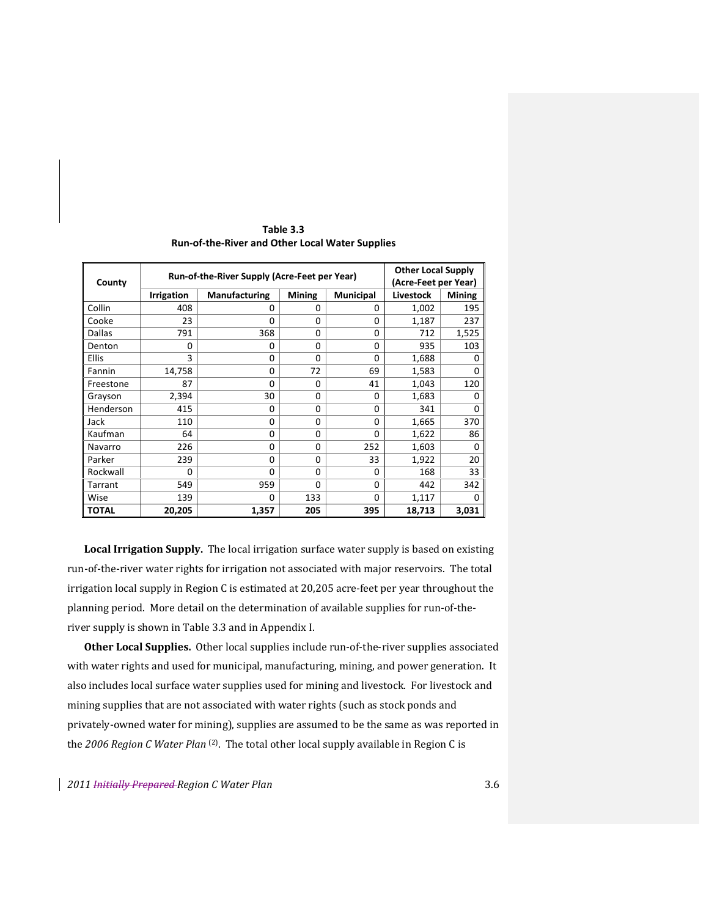|              | Run-of-the-River Supply (Acre-Feet per Year) | <b>Other Local Supply</b> |               |                  |           |        |
|--------------|----------------------------------------------|---------------------------|---------------|------------------|-----------|--------|
| County       |                                              | (Acre-Feet per Year)      |               |                  |           |        |
|              | <b>Irrigation</b>                            | <b>Manufacturing</b>      | <b>Mining</b> | <b>Municipal</b> | Livestock | Mining |
| Collin       | 408                                          | 0                         | 0             | 0                | 1,002     | 195    |
| Cooke        | 23                                           | 0                         | 0             | $\Omega$         | 1,187     | 237    |
| Dallas       | 791                                          | 368                       | $\Omega$      | $\Omega$         | 712       | 1,525  |
| Denton       | 0                                            | 0                         | $\Omega$      | $\Omega$         | 935       | 103    |
| <b>Ellis</b> | 3                                            | 0                         | 0             | $\Omega$         | 1,688     | 0      |
| Fannin       | 14,758                                       | 0                         | 72            | 69               | 1,583     | 0      |
| Freestone    | 87                                           | $\Omega$                  | 0             | 41               | 1,043     | 120    |
| Grayson      | 2,394                                        | 30                        | 0             | 0                | 1,683     | 0      |
| Henderson    | 415                                          | 0                         | $\Omega$      | $\Omega$         | 341       | 0      |
| Jack         | 110                                          | 0                         | $\Omega$      | 0                | 1,665     | 370    |
| Kaufman      | 64                                           | 0                         | 0             | 0                | 1,622     | 86     |
| Navarro      | 226                                          | 0                         | 0             | 252              | 1,603     | 0      |
| Parker       | 239                                          | $\Omega$                  | $\Omega$      | 33               | 1,922     | 20     |
| Rockwall     | $\Omega$                                     | $\Omega$                  | 0             | $\Omega$         | 168       | 33     |
| Tarrant      | 549                                          | 959                       | 0             | $\Omega$         | 442       | 342    |
| Wise         | 139                                          | 0                         | 133           | $\Omega$         | 1,117     | O      |
| <b>TOTAL</b> | 20,205                                       | 1,357                     | 205           | 395              | 18,713    | 3,031  |

**Table 3.3 Run‐of‐the‐River and Other Local Water Supplies**

**Local Irrigation Supply.** The local irrigation surface water supply is based on existing run‐of‐the‐river water rights for irrigation not associated with major reservoirs. The total irrigation local supply in Region C is estimated at 20,205 acre‐feet per year throughout the planning period. More detail on the determination of available supplies for run-of-theriver supply is shown in Table 3.3 and in Appendix I.

**Other Local Supplies.** Other local supplies include run‐of‐the‐river supplies associated with water rights and used for municipal, manufacturing, mining, and power generation. It also includes local surface water supplies used for mining and livestock. For livestock and mining supplies that are not associated with water rights (such as stock ponds and privately-owned water for mining), supplies are assumed to be the same as was reported in the *2006 Region C Water Plan* (2). The total other local supply available in Region C is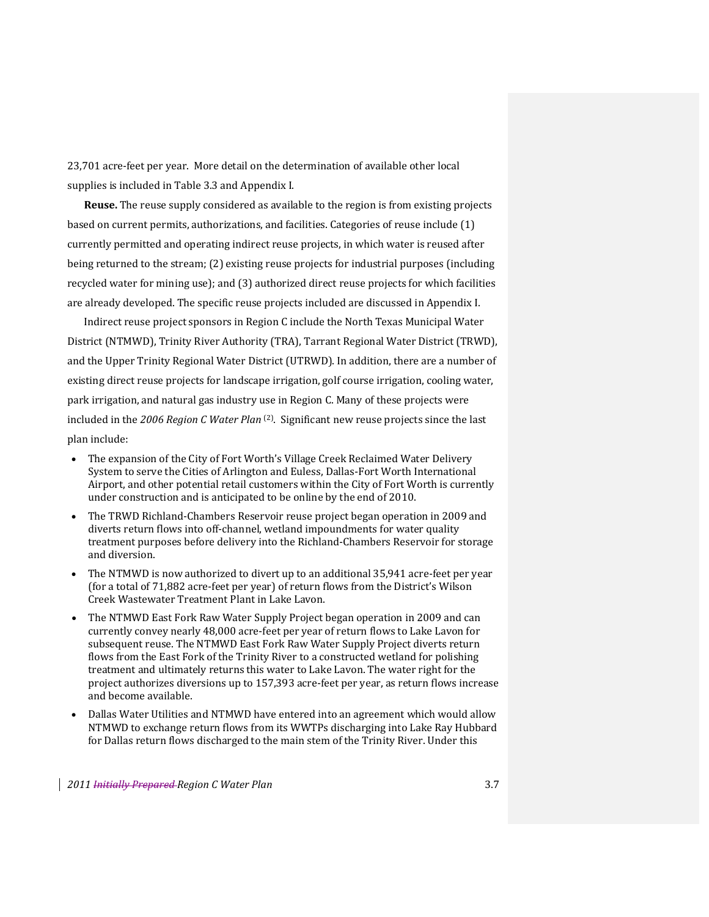23,701 acre‐feet per year. More detail on the determination of available other local supplies is included in Table 3.3 and Appendix I.

**Reuse.** The reuse supply considered as available to the region is from existing projects based on current permits, authorizations, and facilities. Categories of reuse include (1) currently permitted and operating indirect reuse projects, in which water is reused after being returned to the stream; (2) existing reuse projects for industrial purposes (including recycled water for mining use); and (3) authorized direct reuse projects for which facilities are already developed. The specific reuse projects included are discussed in Appendix I.

Indirect reuse project sponsors in Region C include the North Texas Municipal Water District (NTMWD), Trinity River Authority (TRA), Tarrant Regional Water District (TRWD), and the Upper Trinity Regional Water District (UTRWD). In addition, there are a number of existing direct reuse projects for landscape irrigation, golf course irrigation, cooling water, park irrigation, and natural gas industry use in Region C. Many of these projects were included in the *2006 Region C Water Plan* (2). Significant new reuse projects since the last plan include:

- The expansion of the City of Fort Worth's Village Creek Reclaimed Water Delivery System to serve the Cities of Arlington and Euless, Dallas‐Fort Worth International Airport, and other potential retail customers within the City of Fort Worth is currently under construction and is anticipated to be online by the end of 2010.
- The TRWD Richland-Chambers Reservoir reuse project began operation in 2009 and diverts return flows into off‐channel, wetland impoundments for water quality treatment purposes before delivery into the Richland‐Chambers Reservoir for storage and diversion.
- The NTMWD is now authorized to divert up to an additional 35,941 acre-feet per year (for a total of 71,882 acre‐feet per year) of return flows from the District's Wilson Creek Wastewater Treatment Plant in Lake Lavon.
- The NTMWD East Fork Raw Water Supply Project began operation in 2009 and can currently convey nearly 48,000 acre‐feet per year of return flows to Lake Lavon for subsequent reuse. The NTMWD East Fork Raw Water Supply Project diverts return flows from the East Fork of the Trinity River to a constructed wetland for polishing treatment and ultimately returns this water to Lake Lavon. The water right for the project authorizes diversions up to 157,393 acre‐feet per year, as return flows increase and become available.
- Dallas Water Utilities and NTMWD have entered into an agreement which would allow NTMWD to exchange return flows from its WWTPs discharging into Lake Ray Hubbard for Dallas return flows discharged to the main stem of the Trinity River. Under this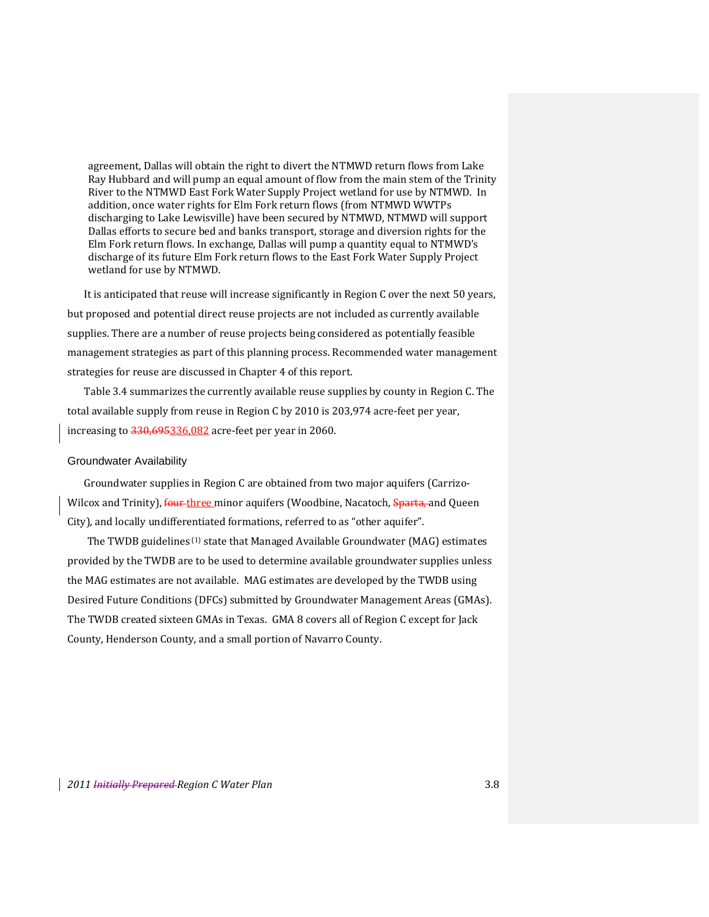agreement, Dallas will obtain the right to divert the NTMWD return flows from Lake Ray Hubbard and will pump an equal amount of flow from the main stem of the Trinity River to the NTMWD East Fork Water Supply Project wetland for use by NTMWD. In addition, once water rights for Elm Fork return flows (from NTMWD WWTPs discharging to Lake Lewisville) have been secured by NTMWD, NTMWD will support Dallas efforts to secure bed and banks transport, storage and diversion rights for the Elm Fork return flows. In exchange, Dallas will pump a quantity equal to NTMWD's discharge of its future Elm Fork return flows to the East Fork Water Supply Project wetland for use by NTMWD.

It is anticipated that reuse will increase significantly in Region C over the next 50 years, but proposed and potential direct reuse projects are not included as currently available supplies. There are a number of reuse projects being considered as potentially feasible management strategies as part of this planning process. Recommended water management strategies for reuse are discussed in Chapter 4 of this report.

Table 3.4 summarizes the currently available reuse supplies by county in Region C. The total available supply from reuse in Region C by 2010 is 203,974 acre‐feet per year, increasing to 330,695336,082 acre‐feet per year in 2060.

#### Groundwater Availability

Groundwater supplies in Region C are obtained from two major aquifers (Carrizo‐ Wilcox and Trinity), four three minor aquifers (Woodbine, Nacatoch, Sparta, and Queen City), and locally undifferentiated formations, referred to as "other aquifer".

The TWDB guidelines<sup>(1)</sup> state that Managed Available Groundwater (MAG) estimates provided by the TWDB are to be used to determine available groundwater supplies unless the MAG estimates are not available. MAG estimates are developed by the TWDB using Desired Future Conditions (DFCs) submitted by Groundwater Management Areas (GMAs). The TWDB created sixteen GMAs in Texas. GMA 8 covers all of Region C except for Jack County, Henderson County, and a small portion of Navarro County.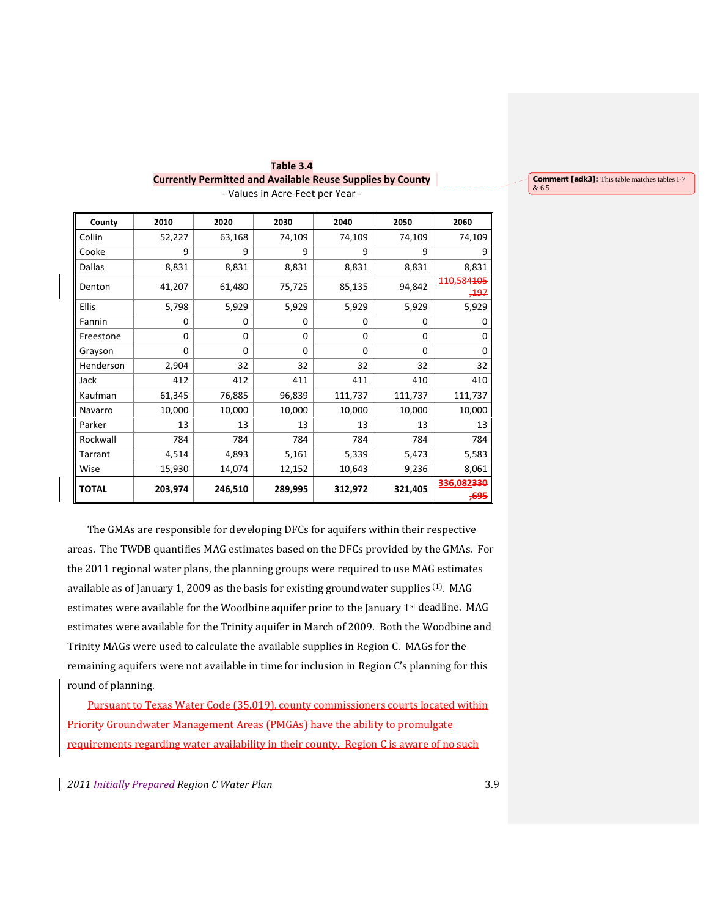| County       | 2010    | 2020     | 2030     | 2040     | 2050    | 2060                          |
|--------------|---------|----------|----------|----------|---------|-------------------------------|
| Collin       | 52,227  | 63,168   | 74,109   | 74,109   | 74,109  | 74,109                        |
| Cooke        | 9       | 9        | 9        | 9        | 9       | 9                             |
| Dallas       | 8,831   | 8,831    | 8,831    | 8,831    | 8,831   | 8,831                         |
| Denton       | 41,207  | 61,480   | 75,725   | 85,135   | 94,842  | 110,584405<br><del>,197</del> |
| <b>Ellis</b> | 5,798   | 5,929    | 5,929    | 5,929    | 5,929   | 5,929                         |
| Fannin       | 0       | 0        | $\Omega$ | 0        | 0       | 0                             |
| Freestone    | 0       | $\Omega$ | $\Omega$ | 0        | 0       | 0                             |
| Grayson      | 0       | $\Omega$ | $\Omega$ | $\Omega$ | 0       | 0                             |
| Henderson    | 2,904   | 32       | 32       | 32       | 32      | 32                            |
| Jack         | 412     | 412      | 411      | 411      | 410     | 410                           |
| Kaufman      | 61,345  | 76,885   | 96,839   | 111,737  | 111,737 | 111,737                       |
| Navarro      | 10,000  | 10,000   | 10,000   | 10,000   | 10,000  | 10,000                        |
| Parker       | 13      | 13       | 13       | 13       | 13      | 13                            |
| Rockwall     | 784     | 784      | 784      | 784      | 784     | 784                           |
| Tarrant      | 4,514   | 4,893    | 5,161    | 5,339    | 5,473   | 5,583                         |
| Wise         | 15,930  | 14,074   | 12,152   | 10,643   | 9,236   | 8,061                         |
| <b>TOTAL</b> | 203,974 | 246,510  | 289,995  | 312,972  | 321,405 | 336,082330<br>,695            |

**Table 3.4 Currently Permitted and Available Reuse Supplies by County** ‐ Values in Acre‐Feet per Year ‐ & 6.5

**Comment [adk3]:** This table matches tables I-7

The GMAs are responsible for developing DFCs for aquifers within their respective areas. The TWDB quantifies MAG estimates based on the DFCs provided by the GMAs. For the 2011 regional water plans, the planning groups were required to use MAG estimates available as of January 1, 2009 as the basis for existing groundwater supplies (1). MAG estimates were available for the Woodbine aquifer prior to the January 1<sup>st</sup> deadline. MAG estimates were available for the Trinity aquifer in March of 2009. Both the Woodbine and Trinity MAGs were used to calculate the available supplies in Region C. MAGs for the remaining aquifers were not available in time for inclusion in Region C's planning for this round of planning.

Pursuant to Texas Water Code (35.019), county commissioners courts located within Priority Groundwater Management Areas (PMGAs) have the ability to promulgate requirements regarding water availability in their county. Region C is aware of no such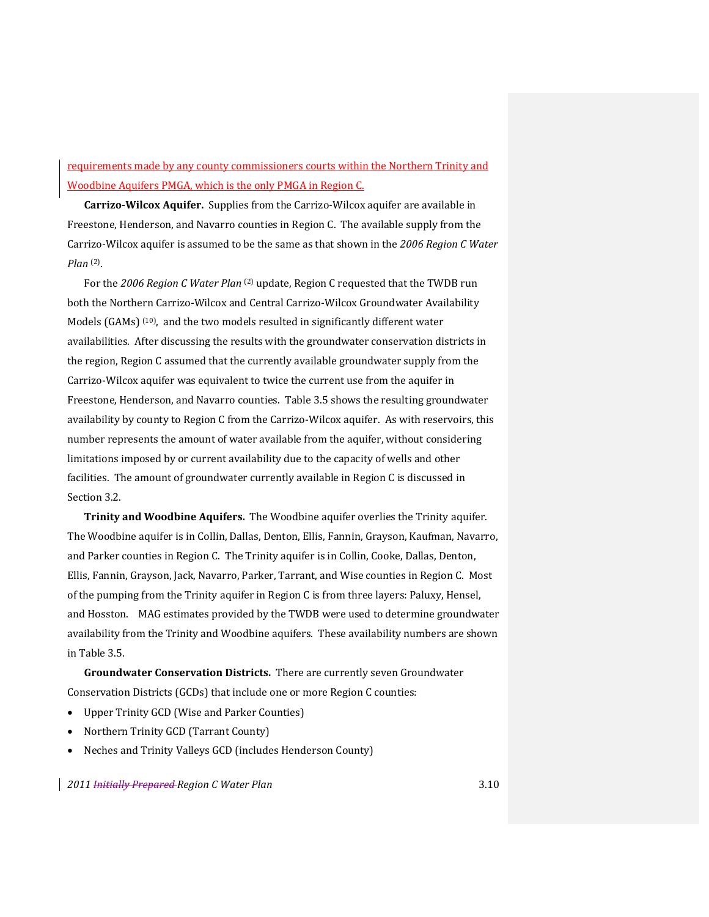## requirements made by any county commissioners courts within the Northern Trinity and Woodbine Aquifers PMGA, which is the only PMGA in Region C.

**CarrizoWilcox Aquifer.** Supplies from the Carrizo‐Wilcox aquifer are available in Freestone, Henderson, and Navarro counties in Region C. The available supply from the Carrizo‐Wilcox aquifer is assumed to be the same as that shown in the *2006 Region C Water Plan* (2).

For the *2006 Region C Water Plan* (2) update, Region C requested that the TWDB run both the Northern Carrizo‐Wilcox and Central Carrizo‐Wilcox Groundwater Availability Models (GAMs) (10), and the two models resulted in significantly different water availabilities. After discussing the results with the groundwater conservation districts in the region, Region C assumed that the currently available groundwater supply from the Carrizo‐Wilcox aquifer was equivalent to twice the current use from the aquifer in Freestone, Henderson, and Navarro counties. Table 3.5 shows the resulting groundwater availability by county to Region C from the Carrizo‐Wilcox aquifer. As with reservoirs, this number represents the amount of water available from the aquifer, without considering limitations imposed by or current availability due to the capacity of wells and other facilities. The amount of groundwater currently available in Region C is discussed in Section 3.2.

**Trinity and Woodbine Aquifers.** The Woodbine aquifer overlies the Trinity aquifer. The Woodbine aquifer is in Collin, Dallas, Denton, Ellis, Fannin, Grayson, Kaufman, Navarro, and Parker counties in Region C. The Trinity aquifer is in Collin, Cooke, Dallas, Denton, Ellis, Fannin, Grayson, Jack, Navarro, Parker, Tarrant, and Wise counties in Region C. Most of the pumping from the Trinity aquifer in Region C is from three layers: Paluxy, Hensel, and Hosston. MAG estimates provided by the TWDB were used to determine groundwater availability from the Trinity and Woodbine aquifers. These availability numbers are shown in Table 3.5.

**Groundwater Conservation Districts.** There are currently seven Groundwater Conservation Districts (GCDs) that include one or more Region C counties:

- Upper Trinity GCD (Wise and Parker Counties)
- Northern Trinity GCD (Tarrant County)
- Neches and Trinity Valleys GCD (includes Henderson County)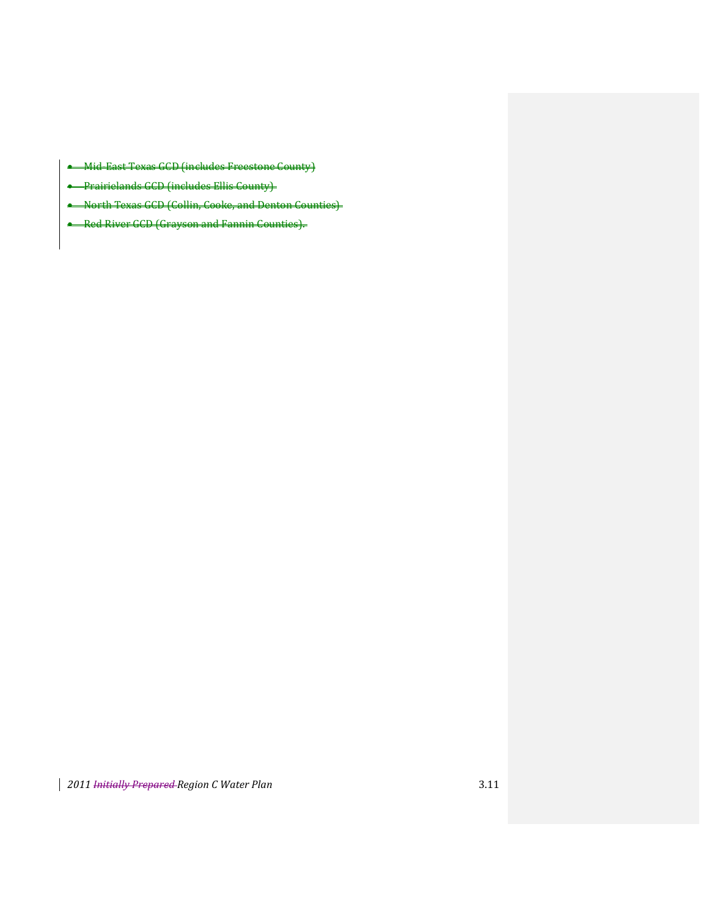- **Mid East Texas GCD (includes Freestone County)**
- **•** Prairielands GCD (includes Ellis County)
- North Texas GCD (Collin, Cooke, and Denton Counties)
- **-** Red River GCD (Grayson and Fannin Counties).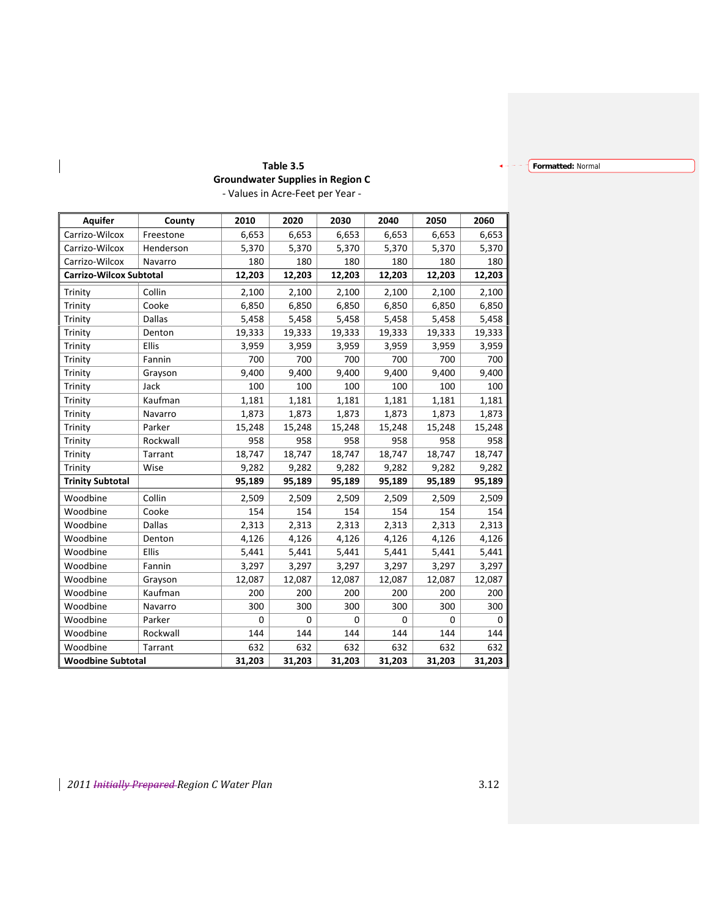## **Formatted:** Normal

# **Table 3.5 Groundwater Supplies in Region C**

| - Values in Acre-Feet per Year - |  |  |
|----------------------------------|--|--|
|----------------------------------|--|--|

| <b>Aquifer</b>                 | County        | 2010     | 2020     | 2030     | 2040        | 2050   | 2060   |
|--------------------------------|---------------|----------|----------|----------|-------------|--------|--------|
| Carrizo-Wilcox                 | Freestone     | 6,653    | 6,653    | 6,653    | 6,653       | 6,653  | 6,653  |
| Carrizo-Wilcox                 | Henderson     | 5,370    | 5,370    | 5,370    | 5,370       | 5,370  | 5,370  |
| Carrizo-Wilcox                 | Navarro       | 180      | 180      | 180      | 180         | 180    | 180    |
| <b>Carrizo-Wilcox Subtotal</b> |               | 12,203   | 12,203   | 12,203   | 12,203      | 12,203 | 12,203 |
| Trinity                        | Collin        | 2,100    | 2,100    | 2,100    | 2,100       | 2,100  | 2,100  |
| Trinity                        | Cooke         | 6,850    | 6,850    | 6,850    | 6,850       | 6,850  | 6,850  |
| Trinity                        | <b>Dallas</b> | 5,458    | 5,458    | 5,458    | 5,458       | 5,458  | 5,458  |
| Trinity                        | Denton        | 19,333   | 19,333   | 19,333   | 19,333      | 19,333 | 19,333 |
| Trinity                        | Ellis         | 3,959    | 3,959    | 3,959    | 3,959       | 3,959  | 3,959  |
| Trinity                        | Fannin        | 700      | 700      | 700      | 700         | 700    | 700    |
| Trinity                        | Grayson       | 9,400    | 9,400    | 9,400    | 9,400       | 9,400  | 9,400  |
| Trinity                        | Jack          | 100      | 100      | 100      | 100         | 100    | 100    |
| Trinity                        | Kaufman       | 1,181    | 1,181    | 1,181    | 1,181       | 1,181  | 1,181  |
| Trinity                        | Navarro       | 1,873    | 1,873    | 1,873    | 1,873       | 1,873  | 1,873  |
| Trinity                        | Parker        | 15,248   | 15,248   | 15,248   | 15,248      | 15,248 | 15,248 |
| Trinity                        | Rockwall      | 958      | 958      | 958      | 958         | 958    | 958    |
| Trinity                        | Tarrant       | 18,747   | 18,747   | 18,747   | 18,747      | 18,747 | 18,747 |
| Trinity                        | Wise          | 9,282    | 9,282    | 9,282    | 9,282       | 9,282  | 9,282  |
| <b>Trinity Subtotal</b>        |               | 95,189   | 95,189   | 95,189   | 95,189      | 95,189 | 95,189 |
| Woodbine                       | Collin        | 2,509    | 2,509    | 2,509    | 2,509       | 2,509  | 2,509  |
| Woodbine                       | Cooke         | 154      | 154      | 154      | 154         | 154    | 154    |
| Woodbine                       | <b>Dallas</b> | 2,313    | 2,313    | 2,313    | 2,313       | 2,313  | 2,313  |
| Woodbine                       | Denton        | 4,126    | 4,126    | 4,126    | 4,126       | 4,126  | 4,126  |
| Woodbine                       | Ellis         | 5,441    | 5,441    | 5,441    | 5,441       | 5,441  | 5,441  |
| Woodbine                       | Fannin        | 3,297    | 3,297    | 3,297    | 3,297       | 3,297  | 3,297  |
| Woodbine                       | Grayson       | 12,087   | 12,087   | 12,087   | 12,087      | 12,087 | 12,087 |
| Woodbine                       | Kaufman       | 200      | 200      | 200      | 200         | 200    | 200    |
| Woodbine                       | Navarro       | 300      | 300      | 300      | 300         | 300    | 300    |
| Woodbine                       | Parker        | $\Omega$ | $\Omega$ | $\Omega$ | $\mathbf 0$ | 0      | 0      |
| Woodbine                       | Rockwall      | 144      | 144      | 144      | 144         | 144    | 144    |
| Woodbine                       | Tarrant       | 632      | 632      | 632      | 632         | 632    | 632    |
| <b>Woodbine Subtotal</b>       |               | 31,203   | 31,203   | 31,203   | 31,203      | 31,203 | 31,203 |

 $\overline{\phantom{a}}$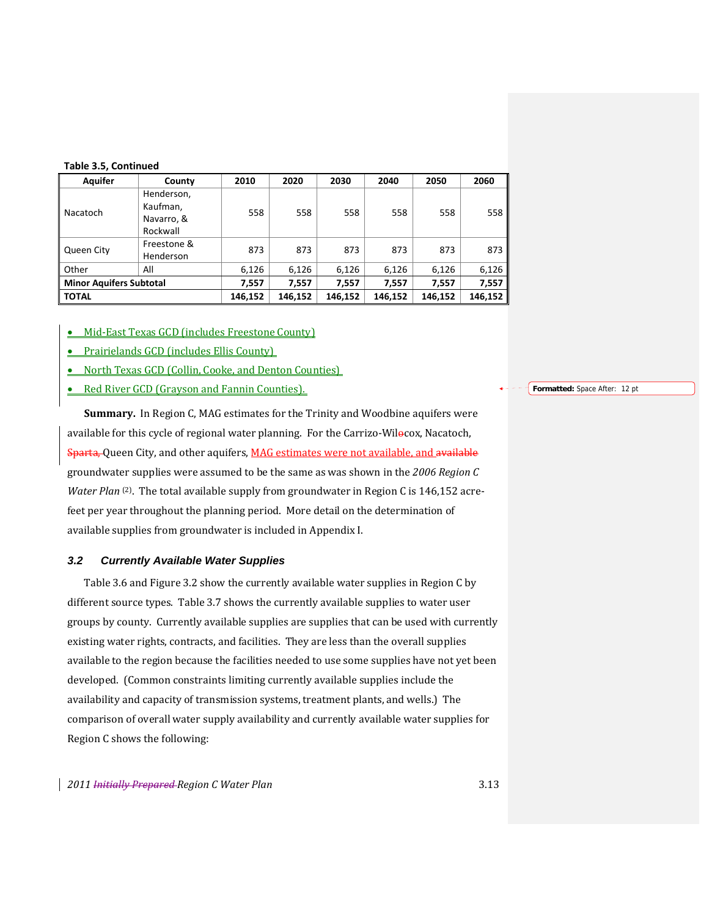| Table 3.5, Continued |  |
|----------------------|--|
|----------------------|--|

| <b>Aquifer</b>                 | County                                           | 2010    | 2020    | 2030    | 2040    | 2050    | 2060    |
|--------------------------------|--------------------------------------------------|---------|---------|---------|---------|---------|---------|
| Nacatoch                       | Henderson,<br>Kaufman,<br>Navarro, &<br>Rockwall | 558     | 558     | 558     | 558     | 558     | 558     |
| Queen City                     | Freestone &<br>Henderson                         | 873     | 873     | 873     | 873     | 873     | 873 l   |
| Other                          | All                                              | 6,126   | 6,126   | 6,126   | 6,126   | 6,126   | 6,126   |
| <b>Minor Aquifers Subtotal</b> |                                                  | 7,557   | 7,557   | 7,557   | 7,557   | 7,557   | 7,557   |
| <b>TOTAL</b>                   |                                                  | 146,152 | 146,152 | 146,152 | 146,152 | 146,152 | 146,152 |

• Mid-East Texas GCD (includes Freestone County)

- Prairielands GCD (includes Ellis County)
- North Texas GCD (Collin, Cooke, and Denton Counties)
- Red River GCD (Grayson and Fannin Counties).

**Summary.** In Region C, MAG estimates for the Trinity and Woodbine aquifers were available for this cycle of regional water planning. For the Carrizo-Wilocox, Nacatoch, Sparta, Queen City, and other aquifers, MAG estimates were not available, and available groundwater supplies were assumed to be the same as was shown in the *2006 Region C Water Plan* <sup>(2)</sup>. The total available supply from groundwater in Region C is 146,152 acrefeet per year throughout the planning period. More detail on the determination of available supplies from groundwater is included in Appendix I.

## *3.2 Currently Available Water Supplies*

Table 3.6 and Figure 3.2 show the currently available water supplies in Region C by different source types. Table 3.7 shows the currently available supplies to water user groups by county. Currently available supplies are supplies that can be used with currently existing water rights, contracts, and facilities. They are less than the overall supplies available to the region because the facilities needed to use some supplies have not yet been developed. (Common constraints limiting currently available supplies include the availability and capacity of transmission systems, treatment plants, and wells.) The comparison of overall water supply availability and currently available water supplies for Region C shows the following:

*2011 Initially Prepared Region C Water Plan* 3.13

**Formatted:** Space After: 12 pt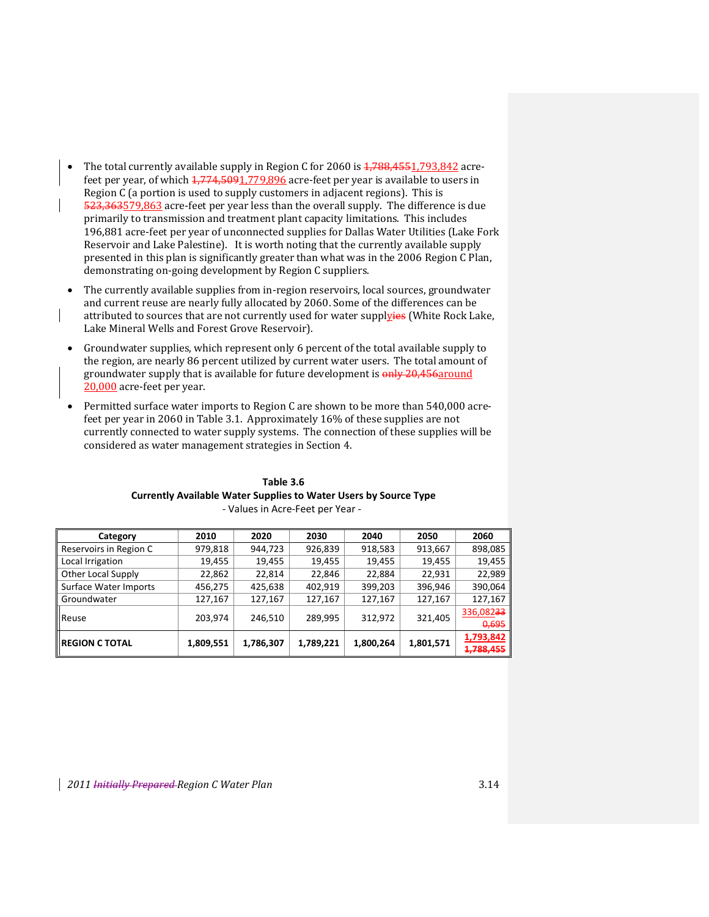- The total currently available supply in Region C for 2060 is  $1,788,4551,793,842$  acrefeet per year, of which  $\frac{1,774,5091,779,896}{2}$  acre-feet per year is available to users in Region C (a portion is used to supply customers in adjacent regions). This is 523,363579,863 acre-feet per year less than the overall supply. The difference is due primarily to transmission and treatment plant capacity limitations. This includes 196,881 acre‐feet per year of unconnected supplies for Dallas Water Utilities (Lake Fork Reservoir and Lake Palestine). It is worth noting that the currently available supply presented in this plan is significantly greater than what was in the 2006 Region C Plan, demonstrating on‐going development by Region C suppliers.
- The currently available supplies from in‐region reservoirs, local sources, groundwater and current reuse are nearly fully allocated by 2060. Some of the differences can be attributed to sources that are not currently used for water supplyies (White Rock Lake, Lake Mineral Wells and Forest Grove Reservoir).
- Groundwater supplies, which represent only 6 percent of the total available supply to the region, are nearly 86 percent utilized by current water users. The total amount of groundwater supply that is available for future development is  $\frac{\text{only}}{20,456 \text{around}}$ 20,000 acre‐feet per year.
- Permitted surface water imports to Region C are shown to be more than 540,000 acre‐ feet per year in 2060 in Table 3.1. Approximately 16% of these supplies are not currently connected to water supply systems. The connection of these supplies will be considered as water management strategies in Section 4.

| Category                  | 2010      | 2020      | 2030      | 2040      | 2050      | 2060      |
|---------------------------|-----------|-----------|-----------|-----------|-----------|-----------|
| Reservoirs in Region C    | 979,818   | 944,723   | 926,839   | 918,583   | 913,667   | 898,085   |
| Local Irrigation          | 19,455    | 19,455    | 19,455    | 19,455    | 19,455    | 19,455    |
| <b>Other Local Supply</b> | 22,862    | 22,814    | 22,846    | 22,884    | 22,931    | 22,989    |
| Surface Water Imports     | 456,275   | 425,638   | 402,919   | 399,203   | 396,946   | 390,064   |
| Groundwater               | 127,167   | 127,167   | 127,167   | 127,167   | 127,167   | 127,167   |
|                           |           |           |           |           | 321,405   | 336,08233 |
| Reuse                     | 203,974   | 246,510   | 289,995   | 312,972   |           | 0,695     |
| <b>Ill REGION C TOTAL</b> | 1,809,551 | 1,786,307 | 1,789,221 | 1,800,264 | 1,801,571 | 1,793,842 |
|                           |           |           |           |           |           | 1,788,455 |

**Table 3.6 Currently Available Water Supplies to Water Users by Source Type** ‐ Values in Acre‐Feet per Year ‐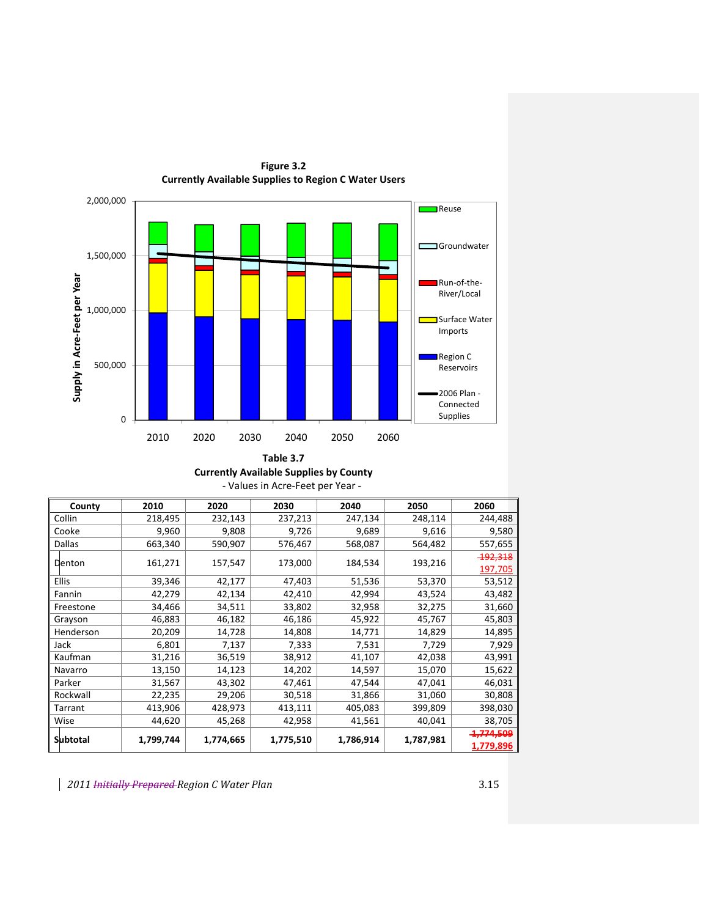

**Figure 3.2 Currently Available Supplies to Region C Water Users**

## **Currently Available Supplies by County** ‐ Values in Acre‐Feet per Year ‐

| County       | 2010      | 2020      | 2030      | 2040      | 2050      | 2060                 |
|--------------|-----------|-----------|-----------|-----------|-----------|----------------------|
| Collin       | 218,495   | 232,143   | 237,213   | 247,134   | 248,114   | 244,488              |
| Cooke        | 9,960     | 9,808     | 9,726     | 9,689     | 9,616     | 9,580                |
| Dallas       | 663,340   | 590,907   | 576,467   | 568,087   | 564,482   | 557,655              |
| Denton       | 161,271   | 157,547   | 173,000   | 184,534   | 193,216   | <b>192,318</b>       |
|              |           |           |           |           |           | 197,705              |
| <b>Ellis</b> | 39,346    | 42,177    | 47,403    | 51,536    | 53,370    | 53,512               |
| Fannin       | 42,279    | 42,134    | 42,410    | 42,994    | 43,524    | 43,482               |
| Freestone    | 34,466    | 34,511    | 33,802    | 32,958    | 32,275    | 31,660               |
| Grayson      | 46,883    | 46,182    | 46,186    | 45,922    | 45,767    | 45,803               |
| Henderson    | 20,209    | 14,728    | 14,808    | 14,771    | 14,829    | 14,895               |
| Jack         | 6,801     | 7,137     | 7,333     | 7,531     | 7,729     | 7,929                |
| Kaufman      | 31,216    | 36,519    | 38,912    | 41,107    | 42,038    | 43,991               |
| Navarro      | 13,150    | 14,123    | 14,202    | 14,597    | 15,070    | 15,622               |
| Parker       | 31,567    | 43,302    | 47,461    | 47,544    | 47,041    | 46,031               |
| Rockwall     | 22,235    | 29,206    | 30,518    | 31,866    | 31,060    | 30,808               |
| Tarrant      | 413,906   | 428,973   | 413,111   | 405,083   | 399,809   | 398,030              |
| Wise         | 44,620    | 45,268    | 42,958    | 41,561    | 40,041    | 38,705               |
|              |           |           |           |           |           | <del>1.774.509</del> |
| Subtotal     | 1,799,744 | 1,774,665 | 1,775,510 | 1,786,914 | 1,787,981 | 1,779,896            |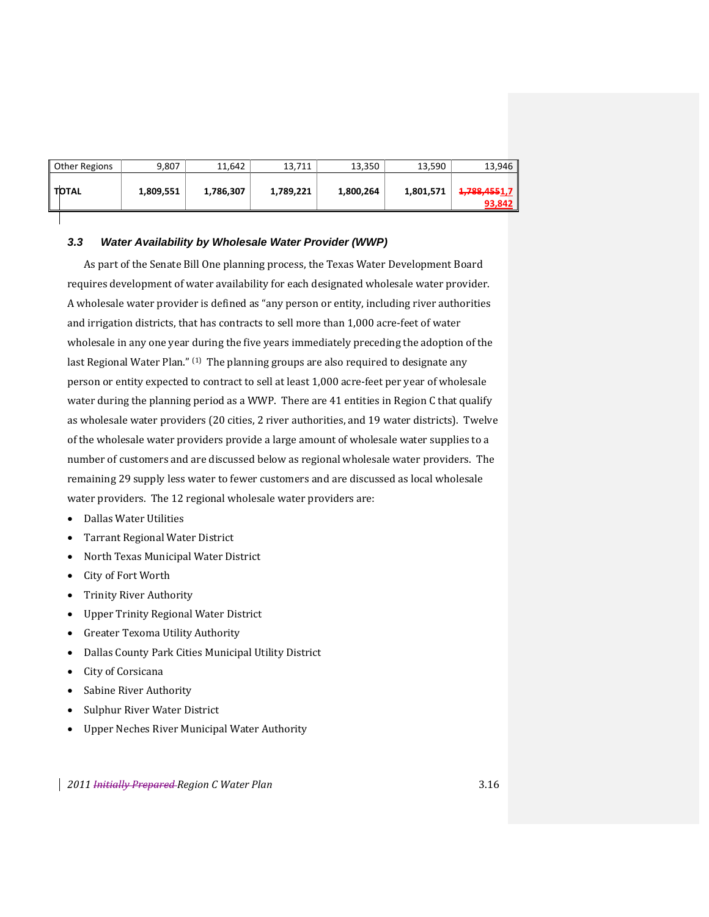| Other Regions | 9,807     | 11.642    | 13,711    | 13,350    | 13,590    | 13,946                        |
|---------------|-----------|-----------|-----------|-----------|-----------|-------------------------------|
| <b>TOTAL</b>  | 1,809,551 | 1,786,307 | 1,789,221 | 1,800,264 | 1,801,571 | <b>1,788,4551,7</b><br>93,842 |

## *3.3 Water Availability by Wholesale Water Provider (WWP)*

As part of the Senate Bill One planning process, the Texas Water Development Board requires development of water availability for each designated wholesale water provider. A wholesale water provider is defined as "any person or entity, including river authorities and irrigation districts, that has contracts to sell more than 1,000 acre‐feet of water wholesale in any one year during the five years immediately preceding the adoption of the last Regional Water Plan." (1) The planning groups are also required to designate any person or entity expected to contract to sell at least 1,000 acre‐feet per year of wholesale water during the planning period as a WWP. There are 41 entities in Region C that qualify as wholesale water providers (20 cities, 2 river authorities, and 19 water districts). Twelve of the wholesale water providers provide a large amount of wholesale water supplies to a number of customers and are discussed below as regional wholesale water providers. The remaining 29 supply less water to fewer customers and are discussed as local wholesale water providers. The 12 regional wholesale water providers are:

- Dallas Water Utilities
- Tarrant Regional Water District
- North Texas Municipal Water District
- City of Fort Worth
- Trinity River Authority
- Upper Trinity Regional Water District
- Greater Texoma Utility Authority
- Dallas County Park Cities Municipal Utility District
- City of Corsicana
- Sabine River Authority
- Sulphur River Water District
- Upper Neches River Municipal Water Authority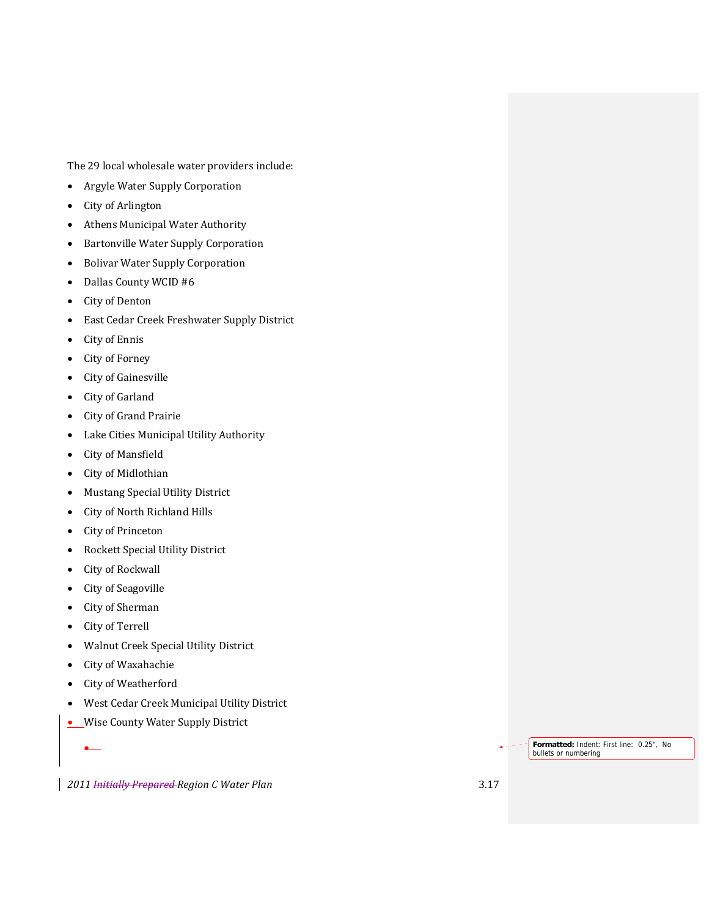The 29 local wholesale water providers include:

- Argyle Water Supply Corporation
- City of Arlington
- Athens Municipal Water Authority
- Bartonville Water Supply Corporation
- Bolivar Water Supply Corporation
- Dallas County WCID #6
- City of Denton
- East Cedar Creek Freshwater Supply District
- City of Ennis
- City of Forney
- City of Gainesville
- City of Garland
- City of Grand Prairie
- Lake Cities Municipal Utility Authority
- City of Mansfield
- City of Midlothian
- Mustang Special Utility District
- City of North Richland Hills
- City of Princeton
- Rockett Special Utility District
- City of Rockwall
- City of Seagoville
- City of Sherman
- City of Terrell
- Walnut Creek Special Utility District
- City of Waxahachie
- City of Weatherford
- West Cedar Creek Municipal Utility District
- Wise County Water Supply District

*2011 Initially Prepared Region C Water Plan* 3.17

**Formatted:** Indent: First line: 0.25", No

bullets or numbering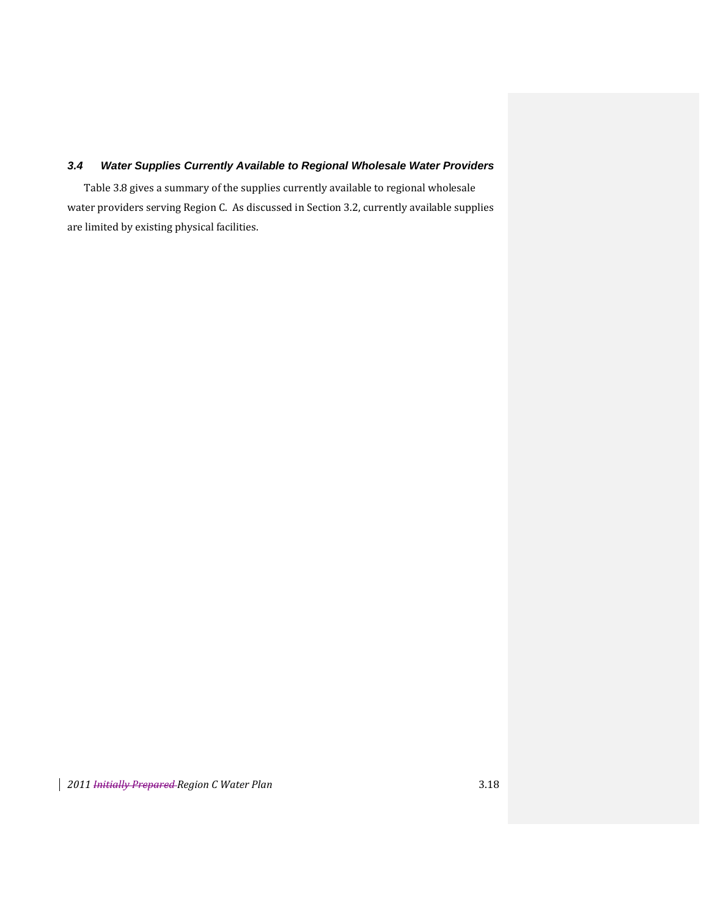## *3.4 Water Supplies Currently Available to Regional Wholesale Water Providers*

Table 3.8 gives a summary of the supplies currently available to regional wholesale water providers serving Region C. As discussed in Section 3.2, currently available supplies are limited by existing physical facilities.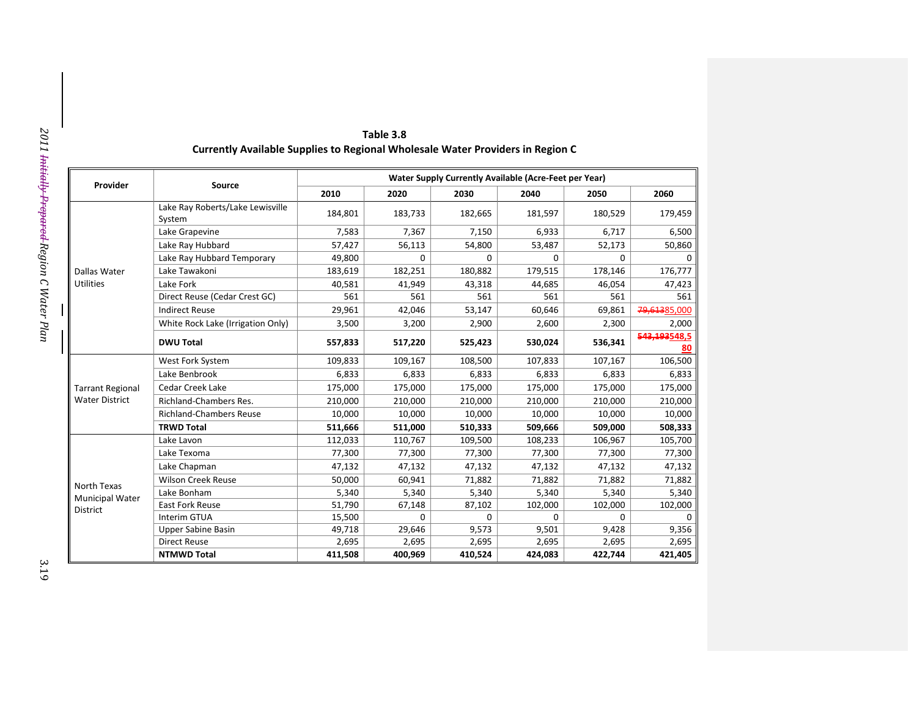|                                       |                                            | Water Supply Currently Available (Acre-Feet per Year) |         |         |         |             |                    |  |  |
|---------------------------------------|--------------------------------------------|-------------------------------------------------------|---------|---------|---------|-------------|--------------------|--|--|
| Provider                              | Source                                     | 2010                                                  | 2020    | 2030    | 2040    | 2050        | 2060               |  |  |
|                                       | Lake Ray Roberts/Lake Lewisville<br>System | 184,801                                               | 183,733 | 182,665 | 181,597 | 180,529     | 179,459            |  |  |
|                                       | Lake Grapevine                             | 7,583                                                 | 7,367   | 7,150   | 6,933   | 6,717       | 6,500              |  |  |
|                                       | Lake Ray Hubbard                           | 57,427                                                | 56,113  | 54,800  | 53,487  | 52,173      | 50,860             |  |  |
|                                       | Lake Ray Hubbard Temporary                 | 49,800                                                | 0       | 0       | 0       | $\mathbf 0$ | $\Omega$           |  |  |
| Dallas Water                          | Lake Tawakoni                              | 183,619                                               | 182,251 | 180,882 | 179,515 | 178,146     | 176,777            |  |  |
| <b>Utilities</b>                      | Lake Fork                                  | 40,581                                                | 41,949  | 43,318  | 44,685  | 46,054      | 47,423             |  |  |
|                                       | Direct Reuse (Cedar Crest GC)              | 561                                                   | 561     | 561     | 561     | 561         | 561                |  |  |
|                                       | <b>Indirect Reuse</b>                      | 29,961                                                | 42,046  | 53,147  | 60,646  | 69,861      | 79,61385,000       |  |  |
|                                       | White Rock Lake (Irrigation Only)          | 3,500                                                 | 3,200   | 2,900   | 2,600   | 2,300       | 2,000              |  |  |
|                                       | <b>DWU Total</b>                           | 557,833                                               | 517,220 | 525,423 | 530,024 | 536,341     | 543,193548.5<br>80 |  |  |
|                                       | West Fork System                           | 109,833                                               | 109,167 | 108,500 | 107,833 | 107,167     | 106,500            |  |  |
|                                       | Lake Benbrook                              | 6,833                                                 | 6,833   | 6,833   | 6,833   | 6,833       | 6,833              |  |  |
| <b>Tarrant Regional</b>               | Cedar Creek Lake                           | 175,000                                               | 175,000 | 175,000 | 175,000 | 175,000     | 175,000            |  |  |
| <b>Water District</b>                 | <b>Richland-Chambers Res.</b>              | 210,000                                               | 210,000 | 210,000 | 210,000 | 210,000     | 210,000            |  |  |
|                                       | <b>Richland-Chambers Reuse</b>             | 10,000                                                | 10,000  | 10,000  | 10,000  | 10,000      | 10,000             |  |  |
|                                       | <b>TRWD Total</b>                          | 511,666                                               | 511,000 | 510,333 | 509,666 | 509,000     | 508,333            |  |  |
|                                       | Lake Lavon                                 | 112,033                                               | 110,767 | 109,500 | 108,233 | 106,967     | 105,700            |  |  |
|                                       | Lake Texoma                                | 77,300                                                | 77,300  | 77,300  | 77,300  | 77,300      | 77,300             |  |  |
|                                       | Lake Chapman                               | 47,132                                                | 47,132  | 47,132  | 47,132  | 47,132      | 47,132             |  |  |
|                                       | Wilson Creek Reuse                         | 50,000                                                | 60,941  | 71,882  | 71,882  | 71,882      | 71,882             |  |  |
| North Texas<br><b>Municipal Water</b> | Lake Bonham                                | 5,340                                                 | 5,340   | 5,340   | 5,340   | 5,340       | 5,340              |  |  |
| District                              | <b>East Fork Reuse</b>                     | 51,790                                                | 67,148  | 87,102  | 102,000 | 102,000     | 102,000            |  |  |
|                                       | Interim GTUA                               | 15,500                                                | 0       | 0       | 0       | 0           | 0                  |  |  |
|                                       | <b>Upper Sabine Basin</b>                  | 49,718                                                | 29,646  | 9,573   | 9,501   | 9,428       | 9,356              |  |  |
|                                       | <b>Direct Reuse</b>                        | 2,695                                                 | 2,695   | 2,695   | 2,695   | 2,695       | 2,695              |  |  |
|                                       | <b>NTMWD Total</b>                         | 411,508                                               | 400,969 | 410,524 | 424,083 | 422,744     | 421,405            |  |  |

| Table 3.8                                                                     |
|-------------------------------------------------------------------------------|
| urrently Available Supplies to Regional Wholesale Water Providers in Region C |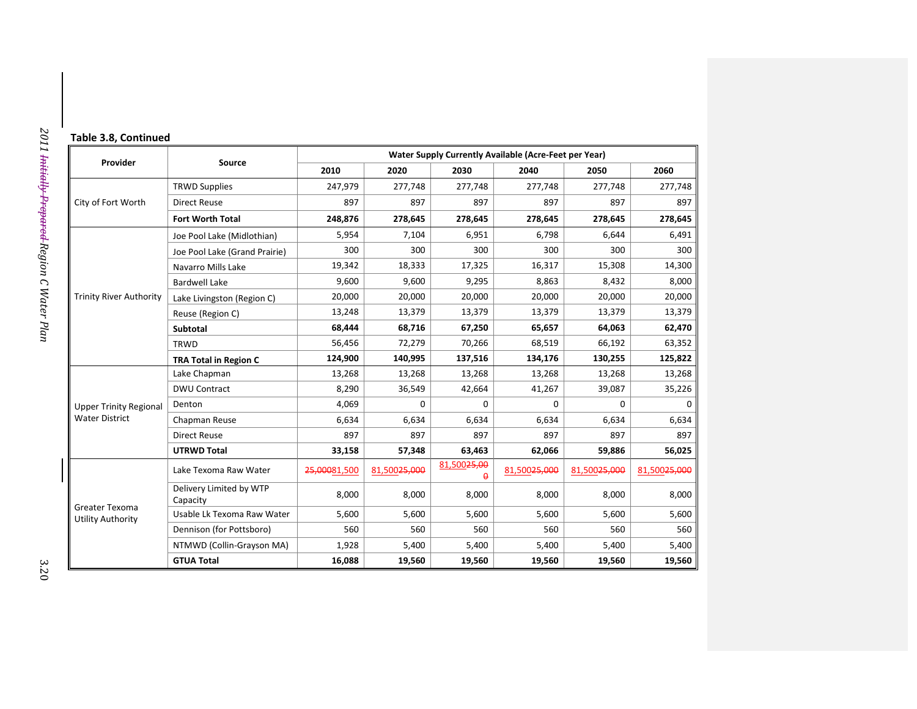| Table 3.8, Continued |  |
|----------------------|--|
|----------------------|--|

|                                     |                                     |              |              |                                     | Water Supply Currently Available (Acre-Feet per Year) |              |                          |
|-------------------------------------|-------------------------------------|--------------|--------------|-------------------------------------|-------------------------------------------------------|--------------|--------------------------|
| Provider                            | Source                              | 2010         | 2020         | 2030                                | 2040                                                  | 2050         | 2060                     |
|                                     | <b>TRWD Supplies</b>                | 247,979      | 277,748      | 277,748                             | 277,748                                               | 277,748      | 277,748                  |
| City of Fort Worth                  | <b>Direct Reuse</b>                 | 897          | 897          | 897                                 | 897                                                   | 897          | 897                      |
|                                     | <b>Fort Worth Total</b>             | 248,876      | 278,645      | 278,645                             | 278,645                                               | 278,645      | 278,645                  |
|                                     | Joe Pool Lake (Midlothian)          | 5,954        | 7,104        | 6,951                               | 6,798                                                 | 6,644        | 6,491                    |
|                                     | Joe Pool Lake (Grand Prairie)       | 300          | 300          | 300                                 | 300                                                   | 300          |                          |
|                                     | Navarro Mills Lake                  | 19,342       | 18,333       | 17,325                              | 16,317                                                | 15,308       | 14,300                   |
|                                     | <b>Bardwell Lake</b>                | 9,600        | 9,600        | 9,295                               | 8,863                                                 | 8,432        | 8,000                    |
| <b>Trinity River Authority</b>      | Lake Livingston (Region C)          | 20,000       | 20,000       | 20,000                              | 20,000                                                | 20,000       | 20,000                   |
|                                     | Reuse (Region C)                    | 13,248       | 13,379       | 13,379                              | 13,379                                                | 13,379       | 13,379                   |
|                                     | Subtotal                            | 68,444       | 68,716       | 67,250                              | 65,657                                                | 64,063       | 62,470                   |
|                                     | <b>TRWD</b>                         | 56,456       | 72,279       | 70,266                              | 68,519                                                | 66,192       | 63,352                   |
|                                     | <b>TRA Total in Region C</b>        | 124,900      | 140,995      | 137,516                             | 134,176                                               | 130,255      | 125,822                  |
|                                     | Lake Chapman                        | 13,268       | 13,268       | 13,268                              | 13,268                                                | 13,268       | 13,268                   |
|                                     | <b>DWU Contract</b>                 | 8,290        | 36,549       | 42,664                              | 41,267                                                | 39,087       | 35,226                   |
| <b>Upper Trinity Regional</b>       | Denton                              | 4,069        | $\Omega$     | $\Omega$                            | 0                                                     | 0            |                          |
| <b>Water District</b>               | Chapman Reuse                       | 6,634        | 6,634        | 6,634                               | 6,634                                                 | 6,634        | 6,634                    |
|                                     | <b>Direct Reuse</b>                 | 897          | 897          | 897                                 | 897                                                   | 897          |                          |
|                                     | <b>UTRWD Total</b>                  | 33,158       | 57,348       | 63,463                              | 62,066                                                | 59,886       | 56,025                   |
|                                     | Lake Texoma Raw Water               | 25,00081,500 | 81,50025,000 | 81,500 <del>25,00</del><br>$\Omega$ | 81,500 <del>25,000</del>                              | 81,50025,000 | 81,500 <del>25,000</del> |
|                                     | Delivery Limited by WTP<br>Capacity | 8,000        | 8,000        | 8,000                               | 8,000                                                 | 8,000        | 8,000                    |
| Greater Texoma<br>Utility Authority | Usable Lk Texoma Raw Water          | 5,600        | 5,600        | 5,600                               | 5,600                                                 | 5,600        | 5,600                    |
|                                     | Dennison (for Pottsboro)            | 560          | 560          | 560                                 | 560                                                   | 560          |                          |
|                                     | NTMWD (Collin-Grayson MA)           | 1,928        | 5,400        | 5,400                               | 5,400                                                 | 5,400        | 5,400                    |
|                                     | <b>GTUA Total</b>                   | 16,088       | 19,560       | 19,560                              | 19,560                                                | 19,560       | 19,560                   |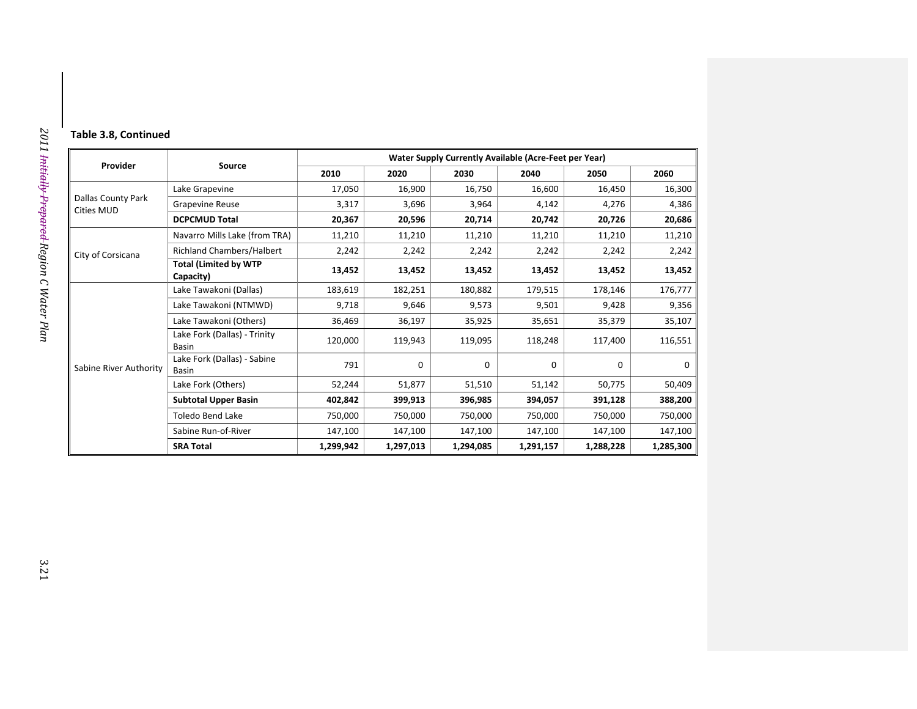| Table 3.8, Continued |  |  |  |  |  |
|----------------------|--|--|--|--|--|
|----------------------|--|--|--|--|--|

|                                         |                                           |           |           | Water Supply Currently Available (Acre-Feet per Year) |           |           |           |
|-----------------------------------------|-------------------------------------------|-----------|-----------|-------------------------------------------------------|-----------|-----------|-----------|
| Provider                                | Source                                    | 2010      | 2020      | 2030                                                  | 2040      | 2050      | 2060      |
| <b>Dallas County Park</b><br>Cities MUD | Lake Grapevine                            | 17,050    | 16,900    | 16,750                                                | 16,600    | 16,450    | 16,300    |
|                                         | <b>Grapevine Reuse</b>                    | 3,317     | 3,696     | 3,964                                                 | 4,142     | 4,276     | 4,386     |
|                                         | <b>DCPCMUD Total</b>                      | 20,367    | 20,596    | 20,714                                                | 20,742    | 20,726    | 20,686    |
|                                         | Navarro Mills Lake (from TRA)             | 11,210    | 11,210    | 11,210                                                | 11,210    | 11,210    | 11,210    |
| City of Corsicana                       | Richland Chambers/Halbert                 | 2,242     | 2,242     | 2,242                                                 | 2,242     | 2,242     | 2,242     |
|                                         | <b>Total (Limited by WTP</b><br>Capacity) | 13,452    | 13,452    | 13,452                                                | 13,452    | 13,452    | 13,452    |
|                                         | Lake Tawakoni (Dallas)                    | 183,619   | 182,251   | 180,882                                               | 179,515   | 178,146   | 176,777   |
|                                         | Lake Tawakoni (NTMWD)                     | 9,718     | 9,646     | 9,573                                                 | 9,501     | 9,428     | 9,356     |
|                                         | Lake Tawakoni (Others)                    | 36,469    | 36,197    | 35,925                                                | 35,651    | 35,379    | 35,107    |
|                                         | Lake Fork (Dallas) - Trinity<br>Basin     | 120,000   | 119,943   | 119,095                                               | 118,248   | 117,400   | 116,551   |
| Sabine River Authority                  | Lake Fork (Dallas) - Sabine<br>Basin      | 791       | $\Omega$  | $\Omega$                                              | 0         | $\Omega$  | $\Omega$  |
|                                         | Lake Fork (Others)                        | 52,244    | 51,877    | 51,510                                                | 51,142    | 50,775    | 50,409    |
|                                         | <b>Subtotal Upper Basin</b>               | 402,842   | 399,913   | 396,985                                               | 394,057   | 391,128   | 388,200   |
|                                         | <b>Toledo Bend Lake</b>                   | 750,000   | 750,000   | 750,000                                               | 750,000   | 750,000   | 750,000   |
|                                         | Sabine Run-of-River                       | 147,100   | 147,100   | 147,100                                               | 147,100   | 147,100   | 147,100   |
|                                         | <b>SRA Total</b>                          | 1,299,942 | 1,297,013 | 1,294,085                                             | 1,291,157 | 1,288,228 | 1,285,300 |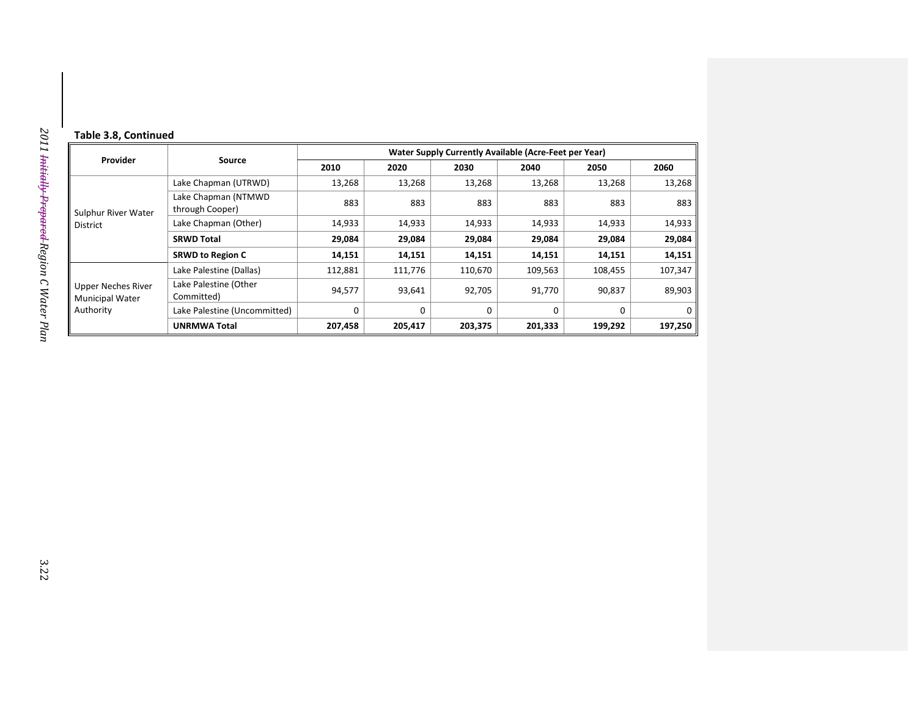#### **Table 3.8, Continued**

| Provider                                           |                                        | Water Supply Currently Available (Acre-Feet per Year) |          |          |          |          |             |  |  |
|----------------------------------------------------|----------------------------------------|-------------------------------------------------------|----------|----------|----------|----------|-------------|--|--|
|                                                    | Source                                 | 2010                                                  | 2020     | 2030     | 2040     | 2050     | 2060        |  |  |
|                                                    | Lake Chapman (UTRWD)                   | 13,268                                                | 13,268   | 13,268   | 13,268   | 13,268   | 13,268      |  |  |
| Sulphur River Water                                | Lake Chapman (NTMWD<br>through Cooper) | 883                                                   | 883      | 883      | 883      | 883      | 883         |  |  |
| <b>District</b>                                    | Lake Chapman (Other)                   | 14,933                                                | 14,933   | 14,933   | 14,933   | 14,933   | 14,933      |  |  |
|                                                    | <b>SRWD Total</b>                      | 29,084                                                | 29,084   | 29,084   | 29,084   | 29,084   | 29,084      |  |  |
|                                                    | <b>SRWD to Region C</b>                | 14,151                                                | 14,151   | 14,151   | 14,151   | 14,151   | 14,151      |  |  |
|                                                    | Lake Palestine (Dallas)                | 112,881                                               | 111,776  | 110,670  | 109,563  | 108,455  | 107,347     |  |  |
| Upper Neches River<br>Municipal Water<br>Authority | Lake Palestine (Other<br>Committed)    | 94,577                                                | 93,641   | 92,705   | 91,770   | 90,837   | 89,903      |  |  |
|                                                    | Lake Palestine (Uncommitted)           | 0                                                     | $\Omega$ | $\Omega$ | $\Omega$ | $\Omega$ | $\mathbf 0$ |  |  |
|                                                    | <b>UNRMWA Total</b>                    | 207,458                                               | 205,417  | 203,375  | 201,333  | 199,292  | 197,250     |  |  |

L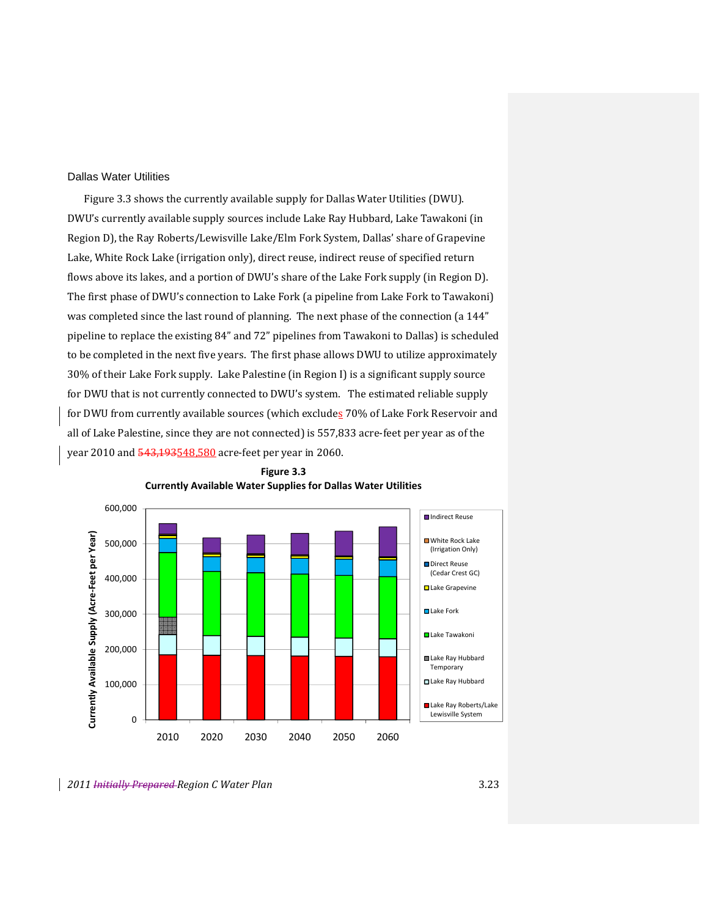#### Dallas Water Utilities

Figure 3.3 shows the currently available supply for Dallas Water Utilities (DWU). DWU's currently available supply sources include Lake Ray Hubbard, Lake Tawakoni (in Region D), the Ray Roberts/Lewisville Lake/Elm Fork System, Dallas' share of Grapevine Lake, White Rock Lake (irrigation only), direct reuse, indirect reuse of specified return flows above its lakes, and a portion of DWU's share of the Lake Fork supply (in Region D). The first phase of DWU's connection to Lake Fork (a pipeline from Lake Fork to Tawakoni) was completed since the last round of planning. The next phase of the connection (a 144" pipeline to replace the existing 84" and 72" pipelines from Tawakoni to Dallas) is scheduled to be completed in the next five years. The first phase allows DWU to utilize approximately 30% of their Lake Fork supply. Lake Palestine (in Region I) is a significant supply source for DWU that is not currently connected to DWU's system. The estimated reliable supply for DWU from currently available sources (which excludes 70% of Lake Fork Reservoir and all of Lake Palestine, since they are not connected) is 557,833 acre‐feet per year as of the year 2010 and 543,193548.580 acre-feet per year in 2060.



**Figure 3.3 Currently Available Water Supplies for Dallas Water Utilities**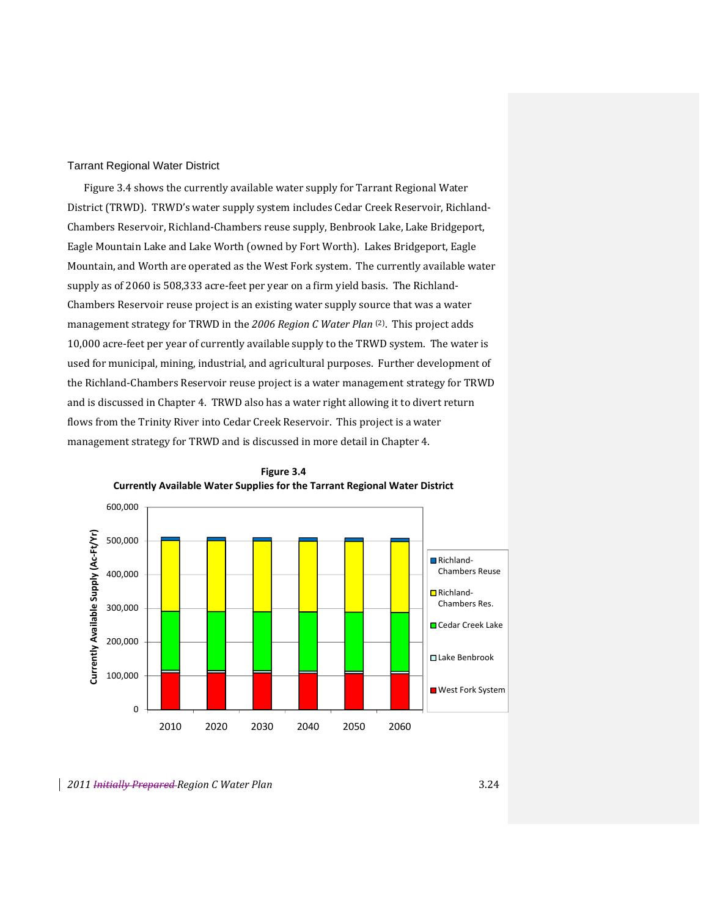## Tarrant Regional Water District

Figure 3.4 shows the currently available water supply for Tarrant Regional Water District (TRWD). TRWD's water supply system includes Cedar Creek Reservoir, Richland‐ Chambers Reservoir, Richland‐Chambers reuse supply, Benbrook Lake, Lake Bridgeport, Eagle Mountain Lake and Lake Worth (owned by Fort Worth). Lakes Bridgeport, Eagle Mountain, and Worth are operated as the West Fork system. The currently available water supply as of 2060 is 508,333 acre-feet per year on a firm yield basis. The Richland-Chambers Reservoir reuse project is an existing water supply source that was a water management strategy for TRWD in the *2006 Region C Water Plan* (2). This project adds 10,000 acre-feet per year of currently available supply to the TRWD system. The water is used for municipal, mining, industrial, and agricultural purposes. Further development of the Richland‐Chambers Reservoir reuse project is a water management strategy for TRWD and is discussed in Chapter 4. TRWD also has a water right allowing it to divert return flows from the Trinity River into Cedar Creek Reservoir. This project is a water management strategy for TRWD and is discussed in more detail in Chapter 4.



**Figure 3.4 Currently Available Water Supplies for the Tarrant Regional Water District**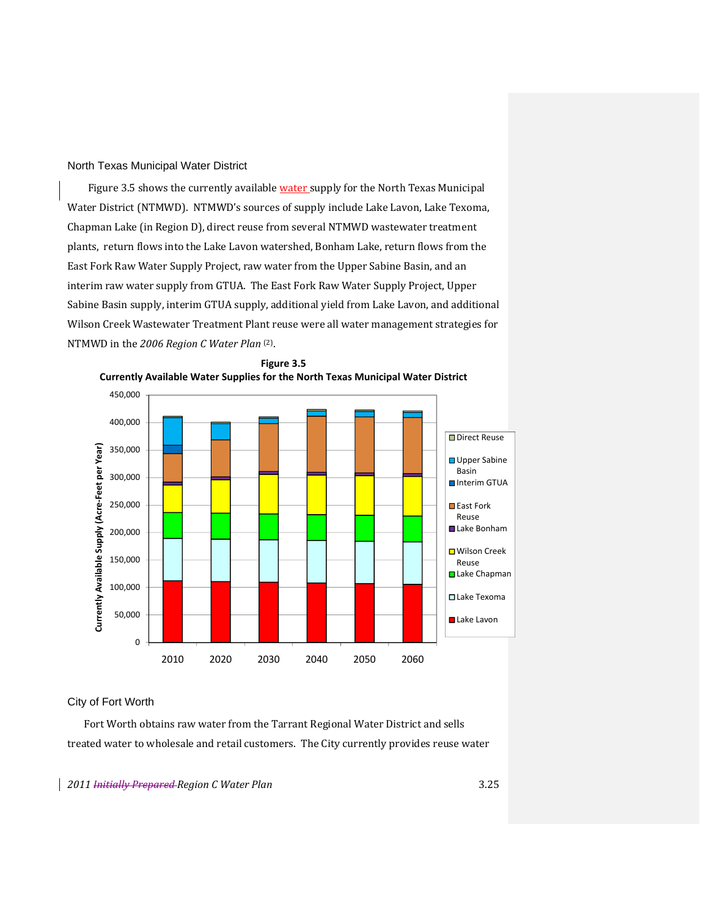## North Texas Municipal Water District

Figure 3.5 shows the currently available water supply for the North Texas Municipal Water District (NTMWD). NTMWD's sources of supply include Lake Lavon, Lake Texoma, Chapman Lake (in Region D), direct reuse from several NTMWD wastewater treatment plants, return flows into the Lake Lavon watershed, Bonham Lake, return flows from the East Fork Raw Water Supply Project, raw water from the Upper Sabine Basin, and an interim raw water supply from GTUA. The East Fork Raw Water Supply Project, Upper Sabine Basin supply, interim GTUA supply, additional yield from Lake Lavon, and additional Wilson Creek Wastewater Treatment Plant reuse were all water management strategies for NTMWD in the *2006 Region C Water Plan* (2).



**Figure 3.5 Currently Available Water Supplies for the North Texas Municipal Water District**

## City of Fort Worth

Fort Worth obtains raw water from the Tarrant Regional Water District and sells treated water to wholesale and retail customers. The City currently provides reuse water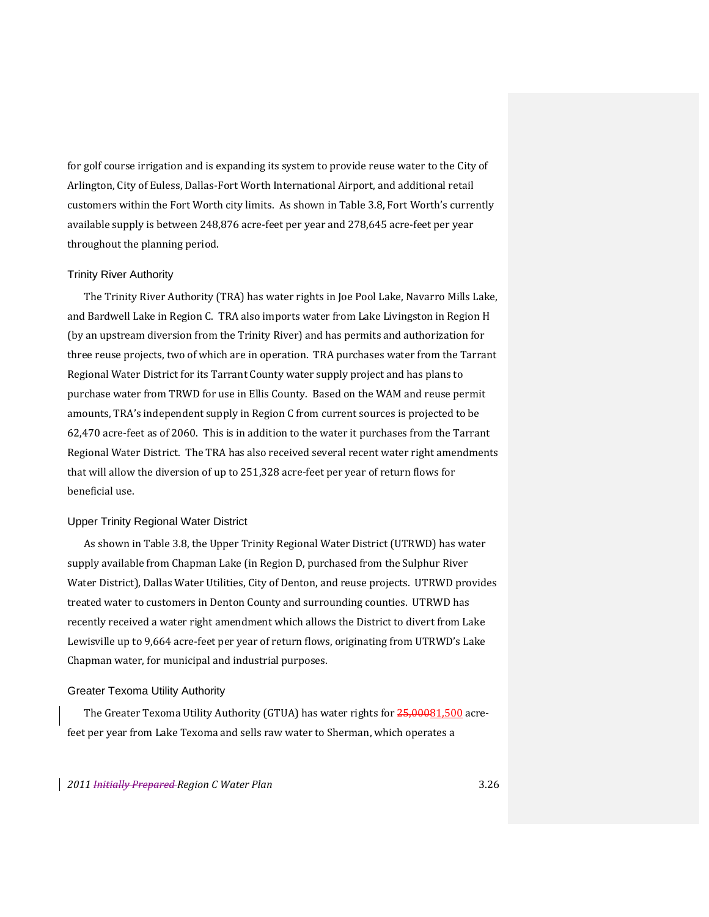for golf course irrigation and is expanding its system to provide reuse water to the City of Arlington, City of Euless, Dallas‐Fort Worth International Airport, and additional retail customers within the Fort Worth city limits. As shown in Table 3.8, Fort Worth's currently available supply is between 248,876 acre‐feet per year and 278,645 acre‐feet per year throughout the planning period.

#### Trinity River Authority

The Trinity River Authority (TRA) has water rights in Joe Pool Lake, Navarro Mills Lake, and Bardwell Lake in Region C. TRA also imports water from Lake Livingston in Region H (by an upstream diversion from the Trinity River) and has permits and authorization for three reuse projects, two of which are in operation. TRA purchases water from the Tarrant Regional Water District for its Tarrant County water supply project and has plans to purchase water from TRWD for use in Ellis County. Based on the WAM and reuse permit amounts, TRA's independent supply in Region C from current sources is projected to be 62,470 acre‐feet as of 2060. This is in addition to the water it purchases from the Tarrant Regional Water District. The TRA has also received several recent water right amendments that will allow the diversion of up to 251,328 acre‐feet per year of return flows for beneficial use.

#### Upper Trinity Regional Water District

As shown in Table 3.8, the Upper Trinity Regional Water District (UTRWD) has water supply available from Chapman Lake (in Region D, purchased from the Sulphur River Water District), Dallas Water Utilities, City of Denton, and reuse projects. UTRWD provides treated water to customers in Denton County and surrounding counties. UTRWD has recently received a water right amendment which allows the District to divert from Lake Lewisville up to 9,664 acre‐feet per year of return flows, originating from UTRWD's Lake Chapman water, for municipal and industrial purposes.

#### Greater Texoma Utility Authority

The Greater Texoma Utility Authority (GTUA) has water rights for 25,00081,500 acrefeet per year from Lake Texoma and sells raw water to Sherman, which operates a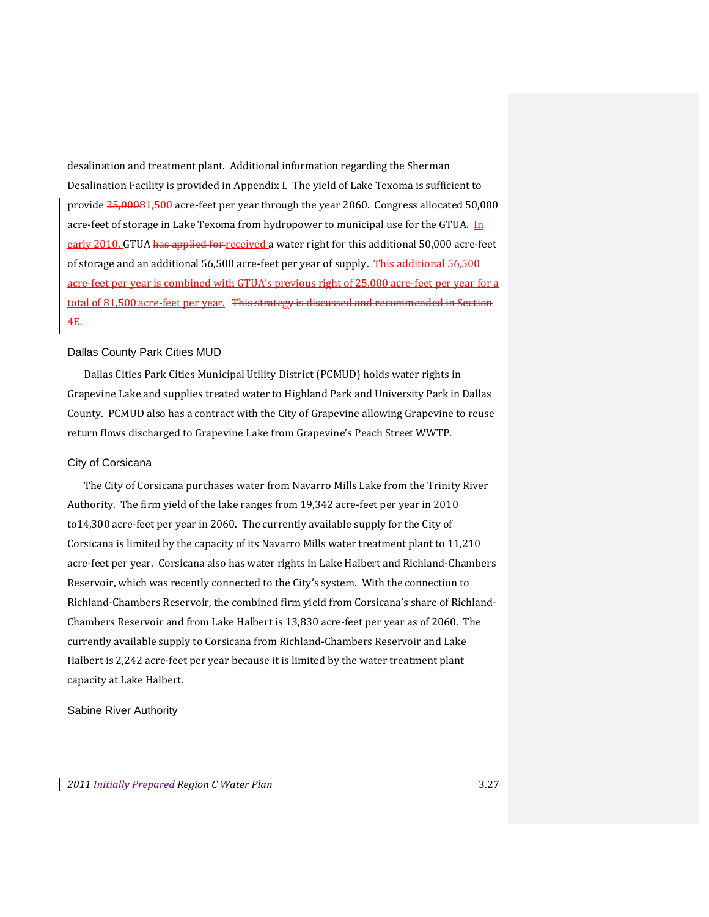desalination and treatment plant. Additional information regarding the Sherman Desalination Facility is provided in Appendix I. The yield of Lake Texoma is sufficient to provide  $25,00081,500$  acre-feet per year through the year 2060. Congress allocated 50,000 acre-feet of storage in Lake Texoma from hydropower to municipal use for the GTUA.  $\ln$ early 2010, GTUA has applied for received a water right for this additional 50,000 acre-feet of storage and an additional 56,500 acre-feet per year of supply. This additional 56,500 acre‐feet per year is combined with GTUA's previous right of 25,000 acre‐feet per year for a total of 81,500 acre-feet per year. This strategy is discussed and recommended in Section 4E.

#### Dallas County Park Cities MUD

Dallas Cities Park Cities Municipal Utility District (PCMUD) holds water rights in Grapevine Lake and supplies treated water to Highland Park and University Park in Dallas County. PCMUD also has a contract with the City of Grapevine allowing Grapevine to reuse return flows discharged to Grapevine Lake from Grapevine's Peach Street WWTP.

#### City of Corsicana

The City of Corsicana purchases water from Navarro Mills Lake from the Trinity River Authority. The firm yield of the lake ranges from 19,342 acre‐feet per year in 2010 to14,300 acre‐feet per year in 2060. The currently available supply for the City of Corsicana is limited by the capacity of its Navarro Mills water treatment plant to 11,210 acre‐feet per year. Corsicana also has water rights in Lake Halbert and Richland‐Chambers Reservoir, which was recently connected to the City's system. With the connection to Richland‐Chambers Reservoir, the combined firm yield from Corsicana's share of Richland‐ Chambers Reservoir and from Lake Halbert is 13,830 acre‐feet per year as of 2060. The currently available supply to Corsicana from Richland‐Chambers Reservoir and Lake Halbert is 2,242 acre‐feet per year because it is limited by the water treatment plant capacity at Lake Halbert.

Sabine River Authority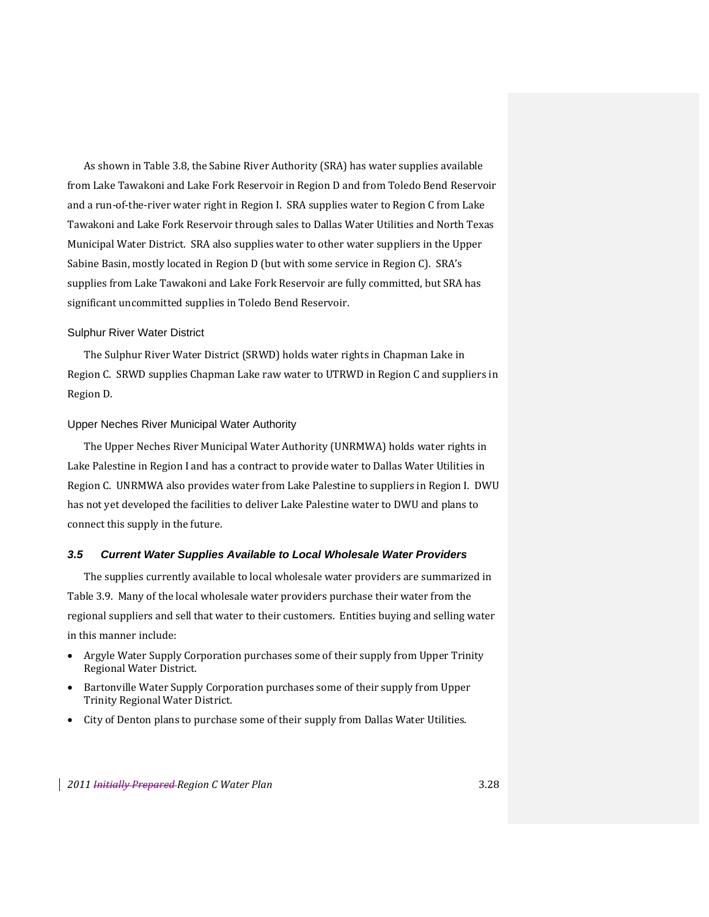As shown in Table 3.8, the Sabine River Authority (SRA) has water supplies available from Lake Tawakoni and Lake Fork Reservoir in Region D and from Toledo Bend Reservoir and a run-of-the-river water right in Region I. SRA supplies water to Region C from Lake Tawakoni and Lake Fork Reservoir through sales to Dallas Water Utilities and North Texas Municipal Water District. SRA also supplies water to other water suppliers in the Upper Sabine Basin, mostly located in Region D (but with some service in Region C). SRA's supplies from Lake Tawakoni and Lake Fork Reservoir are fully committed, but SRA has significant uncommitted supplies in Toledo Bend Reservoir.

#### Sulphur River Water District

The Sulphur River Water District (SRWD) holds water rights in Chapman Lake in Region C. SRWD supplies Chapman Lake raw water to UTRWD in Region C and suppliers in Region D.

#### Upper Neches River Municipal Water Authority

The Upper Neches River Municipal Water Authority (UNRMWA) holds water rights in Lake Palestine in Region I and has a contract to provide water to Dallas Water Utilities in Region C. UNRMWA also provides water from Lake Palestine to suppliers in Region I. DWU has not yet developed the facilities to deliver Lake Palestine water to DWU and plans to connect this supply in the future.

#### *3.5 Current Water Supplies Available to Local Wholesale Water Providers*

The supplies currently available to local wholesale water providers are summarized in Table 3.9. Many of the local wholesale water providers purchase their water from the regional suppliers and sell that water to their customers. Entities buying and selling water in this manner include:

- Argyle Water Supply Corporation purchases some of their supply from Upper Trinity Regional Water District.
- Bartonville Water Supply Corporation purchases some of their supply from Upper Trinity Regional Water District.
- City of Denton plans to purchase some of their supply from Dallas Water Utilities.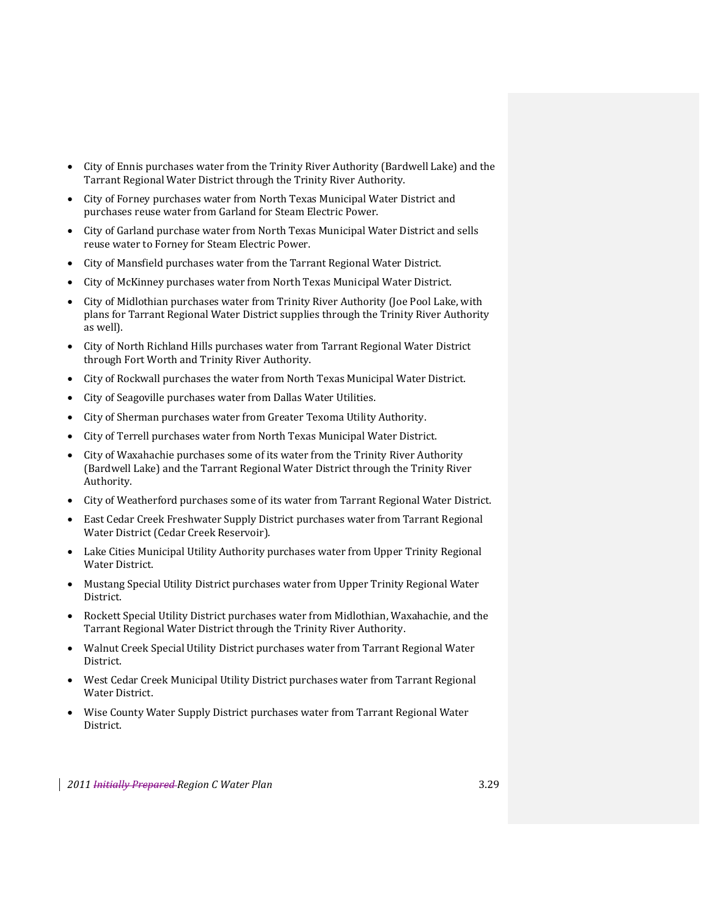- City of Ennis purchases water from the Trinity River Authority (Bardwell Lake) and the Tarrant Regional Water District through the Trinity River Authority.
- City of Forney purchases water from North Texas Municipal Water District and purchases reuse water from Garland for Steam Electric Power.
- City of Garland purchase water from North Texas Municipal Water District and sells reuse water to Forney for Steam Electric Power.
- City of Mansfield purchases water from the Tarrant Regional Water District.
- City of McKinney purchases water from North Texas Municipal Water District.
- City of Midlothian purchases water from Trinity River Authority (Joe Pool Lake, with plans for Tarrant Regional Water District supplies through the Trinity River Authority as well).
- City of North Richland Hills purchases water from Tarrant Regional Water District through Fort Worth and Trinity River Authority.
- City of Rockwall purchases the water from North Texas Municipal Water District.
- City of Seagoville purchases water from Dallas Water Utilities.
- City of Sherman purchases water from Greater Texoma Utility Authority.
- City of Terrell purchases water from North Texas Municipal Water District.
- City of Waxahachie purchases some of its water from the Trinity River Authority (Bardwell Lake) and the Tarrant Regional Water District through the Trinity River Authority.
- City of Weatherford purchases some of its water from Tarrant Regional Water District.
- East Cedar Creek Freshwater Supply District purchases water from Tarrant Regional Water District (Cedar Creek Reservoir).
- Lake Cities Municipal Utility Authority purchases water from Upper Trinity Regional Water District.
- Mustang Special Utility District purchases water from Upper Trinity Regional Water District.
- Rockett Special Utility District purchases water from Midlothian, Waxahachie, and the Tarrant Regional Water District through the Trinity River Authority.
- Walnut Creek Special Utility District purchases water from Tarrant Regional Water District.
- West Cedar Creek Municipal Utility District purchases water from Tarrant Regional Water District.
- Wise County Water Supply District purchases water from Tarrant Regional Water District.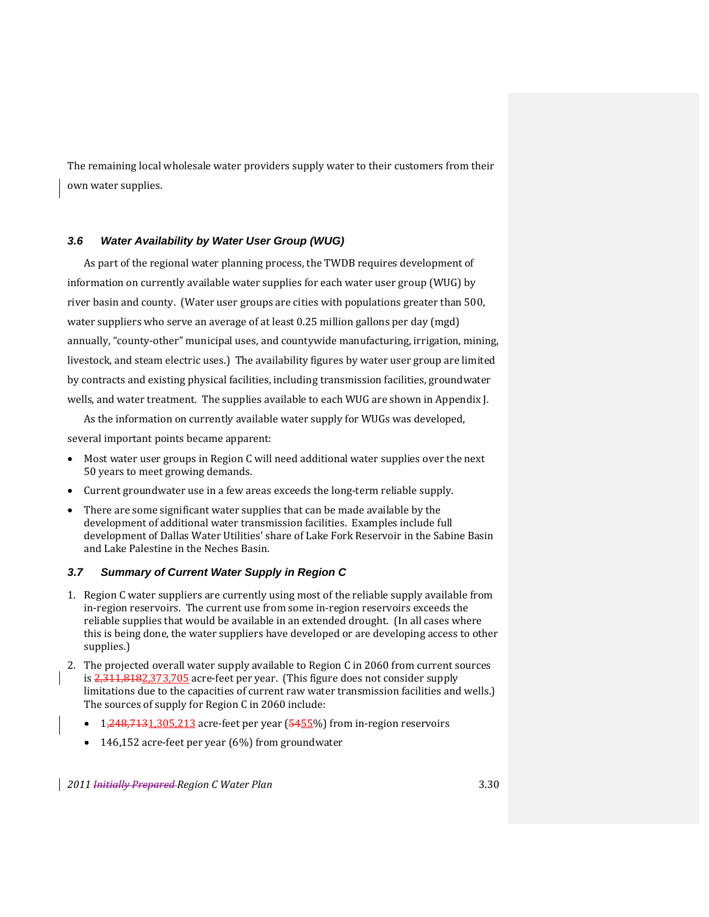The remaining local wholesale water providers supply water to their customers from their own water supplies.

## *3.6 Water Availability by Water User Group (WUG)*

As part of the regional water planning process, the TWDB requires development of information on currently available water supplies for each water user group (WUG) by river basin and county. (Water user groups are cities with populations greater than 500, water suppliers who serve an average of at least 0.25 million gallons per day (mgd) annually, "county‐other" municipal uses, and countywide manufacturing, irrigation, mining, livestock, and steam electric uses.) The availability figures by water user group are limited by contracts and existing physical facilities, including transmission facilities, groundwater wells, and water treatment. The supplies available to each WUG are shown in Appendix J.

As the information on currently available water supply for WUGs was developed, several important points became apparent:

- Most water user groups in Region C will need additional water supplies over the next 50 years to meet growing demands.
- Current groundwater use in a few areas exceeds the long‐term reliable supply.
- There are some significant water supplies that can be made available by the development of additional water transmission facilities. Examples include full development of Dallas Water Utilities' share of Lake Fork Reservoir in the Sabine Basin and Lake Palestine in the Neches Basin.

## *3.7 Summary of Current Water Supply in Region C*

- 1. Region C water suppliers are currently using most of the reliable supply available from in-region reservoirs. The current use from some in-region reservoirs exceeds the reliable supplies that would be available in an extended drought. (In all cases where this is being done, the water suppliers have developed or are developing access to other supplies.)
- 2. The projected overall water supply available to Region C in 2060 from current sources is  $2,311,8182,373,705$  acre-feet per year. (This figure does not consider supply limitations due to the capacities of current raw water transmission facilities and wells.) The sources of supply for Region C in 2060 include:
	- 1,248,7131,305,213 acre-feet per year (5455%) from in-region reservoirs
	- 146,152 acre‐feet per year (6%) from groundwater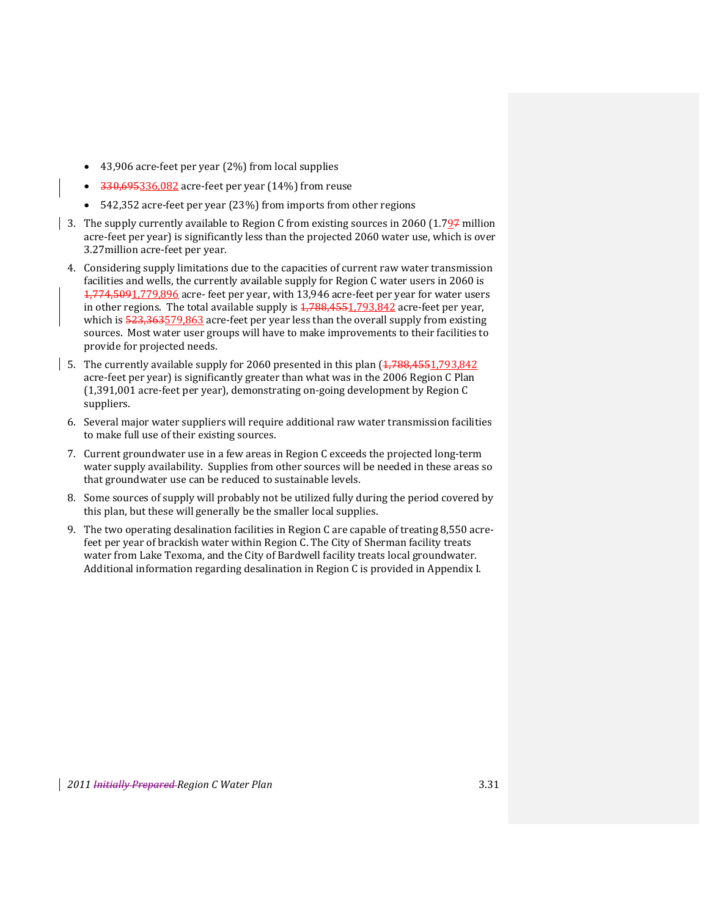- 43,906 acre‐feet per year (2%) from local supplies
- 330,695336,082 acre‐feet per year (14%) from reuse
- 542,352 acre-feet per year (23%) from imports from other regions
- 3. The supply currently available to Region C from existing sources in 2060 (1.7 $\frac{97}{27}$  million acre‐feet per year) is significantly less than the projected 2060 water use, which is over 3.27million acre‐feet per year.
	- 4. Considering supply limitations due to the capacities of current raw water transmission facilities and wells, the currently available supply for Region C water users in 2060 is 1,774,5091,779,896 acre‐ feet per year, with 13,946 acre‐feet per year for water users in other regions. The total available supply is  $4,788,4551,793,842$  acre-feet per year, which is  $\frac{523,363579,863}{2}$  acre-feet per year less than the overall supply from existing sources. Most water user groups will have to make improvements to their facilities to provide for projected needs.
- 5. The currently available supply for 2060 presented in this plan  $(1,788,4551,793,842)$ acre‐feet per year) is significantly greater than what was in the 2006 Region C Plan (1,391,001 acre‐feet per year), demonstrating on‐going development by Region C suppliers.
	- 6. Several major water suppliers will require additional raw water transmission facilities to make full use of their existing sources.
	- 7. Current groundwater use in a few areas in Region C exceeds the projected long‐term water supply availability. Supplies from other sources will be needed in these areas so that groundwater use can be reduced to sustainable levels.
	- 8. Some sources of supply will probably not be utilized fully during the period covered by this plan, but these will generally be the smaller local supplies.
	- 9. The two operating desalination facilities in Region C are capable of treating 8,550 acrefeet per year of brackish water within Region C. The City of Sherman facility treats water from Lake Texoma, and the City of Bardwell facility treats local groundwater. Additional information regarding desalination in Region C is provided in Appendix I.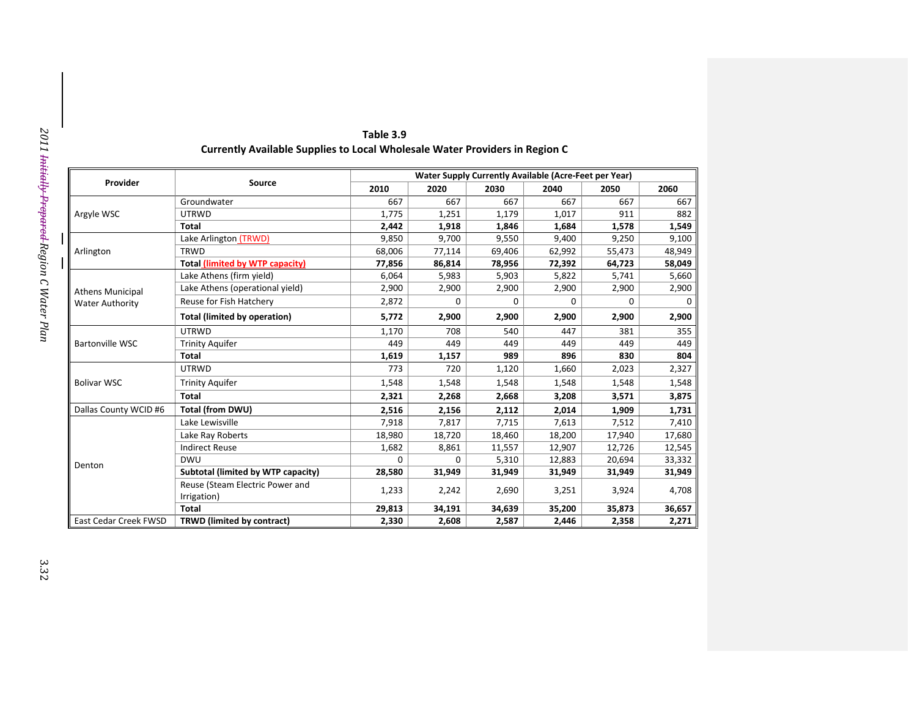| Provider                | Source                                         |          |          |             | Water Supply Currently Available (Acre-Feet per Year) |        |        |
|-------------------------|------------------------------------------------|----------|----------|-------------|-------------------------------------------------------|--------|--------|
|                         |                                                | 2010     | 2020     | 2030        | 2040                                                  | 2050   | 2060   |
|                         | Groundwater                                    | 667      | 667      | 667         | 667                                                   | 667    |        |
| Argyle WSC              | <b>UTRWD</b>                                   | 1,775    | 1,251    | 1,179       | 1,017                                                 | 911    |        |
|                         | <b>Total</b>                                   | 2,442    | 1,918    | 1,846       | 1,684                                                 | 1,578  | 1,549  |
|                         | Lake Arlington (TRWD)                          | 9,850    | 9,700    | 9,550       | 9,400                                                 | 9,250  | 9,100  |
| Arlington               | <b>TRWD</b>                                    | 68,006   | 77,114   | 69,406      | 62,992                                                | 55,473 | 48,949 |
|                         | <b>Total (limited by WTP capacity)</b>         | 77,856   | 86,814   | 78,956      | 72,392                                                | 64,723 | 58,049 |
|                         | Lake Athens (firm yield)                       | 6,064    | 5,983    | 5,903       | 5,822                                                 | 5,741  | 5,660  |
| <b>Athens Municipal</b> | Lake Athens (operational yield)                | 2,900    | 2,900    | 2,900       | 2,900                                                 | 2,900  | 2,900  |
| <b>Water Authority</b>  | Reuse for Fish Hatchery                        | 2,872    | 0        | $\mathbf 0$ | 0                                                     | 0      |        |
|                         | <b>Total (limited by operation)</b>            | 5,772    | 2,900    | 2,900       | 2,900                                                 | 2,900  | 2,900  |
|                         | <b>UTRWD</b>                                   | 1,170    | 708      | 540         | 447                                                   | 381    |        |
| <b>Bartonville WSC</b>  | <b>Trinity Aquifer</b>                         | 449      | 449      | 449         | 449                                                   | 449    |        |
|                         | <b>Total</b>                                   | 1,619    | 1,157    | 989         | 896                                                   | 830    |        |
|                         | <b>UTRWD</b>                                   | 773      | 720      | 1,120       | 1,660                                                 | 2,023  | 2,327  |
| <b>Bolivar WSC</b>      | <b>Trinity Aquifer</b>                         | 1,548    | 1,548    | 1,548       | 1,548                                                 | 1,548  | 1,548  |
|                         | <b>Total</b>                                   | 2,321    | 2,268    | 2,668       | 3,208                                                 | 3,571  | 3,875  |
| Dallas County WCID #6   | <b>Total (from DWU)</b>                        | 2,516    | 2,156    | 2,112       | 2,014                                                 | 1,909  | 1,731  |
|                         | Lake Lewisville                                | 7,918    | 7,817    | 7,715       | 7,613                                                 | 7,512  | 7,410  |
|                         | Lake Ray Roberts                               | 18,980   | 18,720   | 18,460      | 18,200                                                | 17,940 | 17,680 |
|                         | <b>Indirect Reuse</b>                          | 1,682    | 8,861    | 11,557      | 12,907                                                | 12,726 | 12,545 |
|                         | <b>DWU</b>                                     | $\Omega$ | $\Omega$ | 5,310       | 12,883                                                | 20,694 | 33,332 |
| Denton                  | Subtotal (limited by WTP capacity)             | 28,580   | 31,949   | 31,949      | 31,949                                                | 31,949 | 31,949 |
|                         | Reuse (Steam Electric Power and<br>Irrigation) | 1,233    | 2,242    | 2,690       | 3,251                                                 | 3,924  | 4,708  |
|                         | <b>Total</b>                                   | 29,813   | 34,191   | 34,639      | 35,200                                                | 35,873 | 36,657 |
| East Cedar Creek FWSD   | TRWD (limited by contract)                     | 2,330    | 2,608    | 2,587       | 2,446                                                 | 2,358  | 2,271  |

# **C**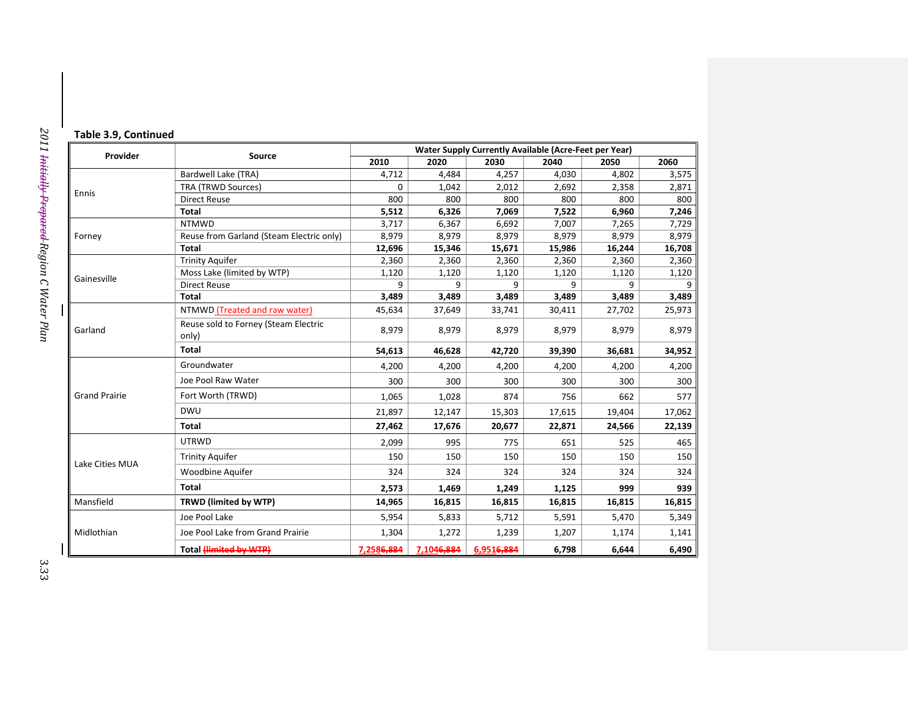|  | Table 3.9, Continued |  |
|--|----------------------|--|
|  |                      |  |

| Provider             |                                               |            |            | <b>Water Supply Currently Available (Acre-Feet per Year)</b> |        |        |        |
|----------------------|-----------------------------------------------|------------|------------|--------------------------------------------------------------|--------|--------|--------|
|                      | Source                                        | 2010       | 2020       | 2030                                                         | 2040   | 2050   | 2060   |
|                      | Bardwell Lake (TRA)                           | 4,712      | 4,484      | 4,257                                                        | 4,030  | 4,802  | 3,575  |
| Ennis                | TRA (TRWD Sources)                            | $\Omega$   | 1,042      | 2,012                                                        | 2,692  | 2,358  | 2,871  |
|                      | <b>Direct Reuse</b>                           | 800        | 800        | 800                                                          | 800    | 800    | 800    |
|                      | Total                                         | 5,512      | 6,326      | 7,069                                                        | 7,522  | 6,960  | 7,246  |
|                      | <b>NTMWD</b>                                  | 3,717      | 6,367      | 6,692                                                        | 7,007  | 7,265  | 7,729  |
| Forney               | Reuse from Garland (Steam Electric only)      | 8,979      | 8,979      | 8,979                                                        | 8,979  | 8,979  | 8,979  |
|                      | <b>Total</b>                                  | 12,696     | 15,346     | 15,671                                                       | 15,986 | 16,244 | 16,708 |
|                      | <b>Trinity Aquifer</b>                        | 2,360      | 2,360      | 2,360                                                        | 2,360  | 2,360  | 2,360  |
| Gainesville          | Moss Lake (limited by WTP)                    | 1,120      | 1,120      | 1,120                                                        | 1,120  | 1,120  | 1,120  |
|                      | <b>Direct Reuse</b>                           | 9          | 9          | 9                                                            | 9      | 9      | 9      |
|                      | Total                                         | 3,489      | 3,489      | 3,489                                                        | 3,489  | 3,489  | 3,489  |
|                      | NTMWD (Treated and raw water)                 | 45,634     | 37,649     | 33,741                                                       | 30,411 | 27,702 | 25,973 |
| Garland              | Reuse sold to Forney (Steam Electric<br>only) | 8,979      | 8,979      | 8,979                                                        | 8,979  | 8,979  | 8,979  |
|                      | <b>Total</b>                                  | 54,613     | 46,628     | 42,720                                                       | 39,390 | 36,681 | 34,952 |
|                      | Groundwater                                   | 4,200      | 4,200      | 4,200                                                        | 4,200  | 4,200  | 4,200  |
|                      | Joe Pool Raw Water                            | 300        | 300        | 300                                                          | 300    | 300    | 300    |
| <b>Grand Prairie</b> | Fort Worth (TRWD)                             | 1,065      | 1,028      | 874                                                          | 756    | 662    | 577    |
|                      | <b>DWU</b>                                    | 21,897     | 12,147     | 15,303                                                       | 17,615 | 19,404 | 17,062 |
|                      | <b>Total</b>                                  | 27,462     | 17,676     | 20,677                                                       | 22,871 | 24,566 | 22,139 |
|                      | <b>UTRWD</b>                                  | 2,099      | 995        | 775                                                          | 651    | 525    | 465    |
| Lake Cities MUA      | <b>Trinity Aquifer</b>                        | 150        | 150        | 150                                                          | 150    | 150    | 150    |
|                      | Woodbine Aquifer                              | 324        | 324        | 324                                                          | 324    | 324    | 324    |
|                      | <b>Total</b>                                  | 2,573      | 1,469      | 1,249                                                        | 1,125  | 999    | 939    |
| Mansfield            | TRWD (limited by WTP)                         | 14,965     | 16,815     | 16,815                                                       | 16,815 | 16,815 | 16,815 |
|                      | Joe Pool Lake                                 | 5,954      | 5,833      | 5,712                                                        | 5,591  | 5,470  | 5,349  |
| Midlothian           | Joe Pool Lake from Grand Prairie              | 1,304      | 1,272      | 1,239                                                        | 1,207  | 1,174  | 1,141  |
|                      | Total (limited by WTP)                        | 7,2586,884 | 7,1046,884 | 6,9516,884                                                   | 6,798  | 6,644  | 6,490  |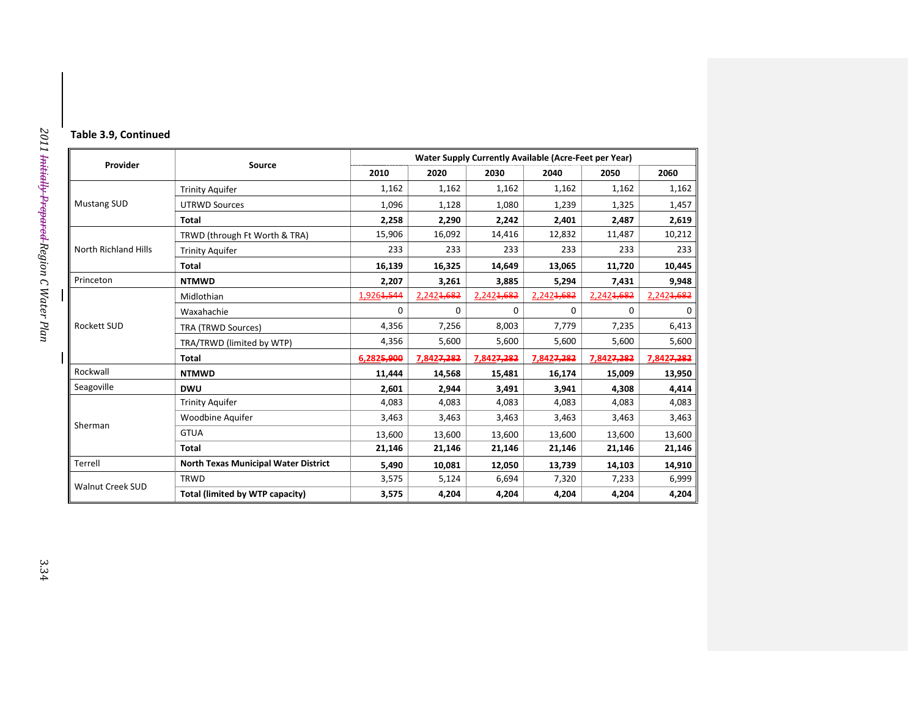|  |  |  |  | Table 3.9, Continued |  |
|--|--|--|--|----------------------|--|
|--|--|--|--|----------------------|--|

|                             | <b>Source</b>                               | Water Supply Currently Available (Acre-Feet per Year) |                        |                        |            |                        |                        |  |
|-----------------------------|---------------------------------------------|-------------------------------------------------------|------------------------|------------------------|------------|------------------------|------------------------|--|
| Provider                    |                                             | 2010                                                  | 2020                   | 2030                   | 2040       | 2050                   | 2060                   |  |
| <b>Mustang SUD</b>          | <b>Trinity Aquifer</b>                      | 1,162                                                 | 1,162                  | 1,162                  | 1,162      | 1,162                  | 1,162                  |  |
|                             | <b>UTRWD Sources</b>                        | 1,096                                                 | 1,128                  | 1,080                  | 1,239      | 1,325                  | 1,457                  |  |
|                             | Total                                       | 2,258                                                 | 2,290                  | 2,242                  | 2,401      | 2,487                  | 2,619                  |  |
|                             | TRWD (through Ft Worth & TRA)               | 15,906                                                | 16,092                 | 14,416                 | 12,832     | 11,487                 | 10,212                 |  |
| <b>North Richland Hills</b> | <b>Trinity Aquifer</b>                      | 233                                                   | 233                    | 233                    | 233        | 233                    | 233                    |  |
|                             | Total                                       | 16,139                                                | 16,325                 | 14,649                 | 13,065     | 11,720                 | 10,445                 |  |
| Princeton                   | <b>NTMWD</b>                                | 2,207                                                 | 3,261                  | 3,885                  | 5,294      | 7,431                  | 9,948                  |  |
|                             | Midlothian                                  | 1,926 <del>1,544</del>                                | 2,242 <del>1,682</del> | 2,242 <del>1,682</del> | 2,2424,682 | 2,2424,682             | 2,242 <del>1,682</del> |  |
|                             | Waxahachie                                  | $\mathbf 0$                                           | 0                      | $\Omega$               | 0          | 0                      | 0                      |  |
| <b>Rockett SUD</b>          | <b>TRA (TRWD Sources)</b>                   | 4,356                                                 | 7,256                  | 8,003                  | 7,779      | 7,235                  | 6,413                  |  |
|                             | TRA/TRWD (limited by WTP)                   | 4,356                                                 | 5,600                  | 5,600                  | 5,600      | 5,600                  | 5,600                  |  |
|                             | Total                                       | 6,2825,900                                            | 7,842 <del>7,282</del> | 7,8427,282             | 7,8427,282 | 7,842 <del>7,282</del> | 7,842 <del>7,282</del> |  |
| Rockwall                    | <b>NTMWD</b>                                | 11,444                                                | 14,568                 | 15,481                 | 16,174     | 15,009                 | 13,950                 |  |
| Seagoville                  | <b>DWU</b>                                  | 2,601                                                 | 2,944                  | 3,491                  | 3,941      | 4,308                  | 4,414                  |  |
|                             | <b>Trinity Aquifer</b>                      | 4,083                                                 | 4,083                  | 4,083                  | 4,083      | 4,083                  | 4,083                  |  |
| Sherman                     | Woodbine Aquifer                            | 3,463                                                 | 3,463                  | 3,463                  | 3,463      | 3,463                  | 3,463                  |  |
|                             | <b>GTUA</b>                                 | 13,600                                                | 13,600                 | 13,600                 | 13,600     | 13,600                 | 13,600                 |  |
|                             | <b>Total</b>                                | 21,146                                                | 21,146                 | 21,146                 | 21,146     | 21,146                 | 21,146                 |  |
| Terrell                     | <b>North Texas Municipal Water District</b> | 5,490                                                 | 10,081                 | 12,050                 | 13,739     | 14,103                 | 14,910                 |  |
| <b>Walnut Creek SUD</b>     | <b>TRWD</b>                                 | 3,575                                                 | 5,124                  | 6,694                  | 7,320      | 7,233                  | 6,999                  |  |
|                             | Total (limited by WTP capacity)             | 3,575                                                 | 4,204                  | 4,204                  | 4,204      | 4,204                  | 4,204                  |  |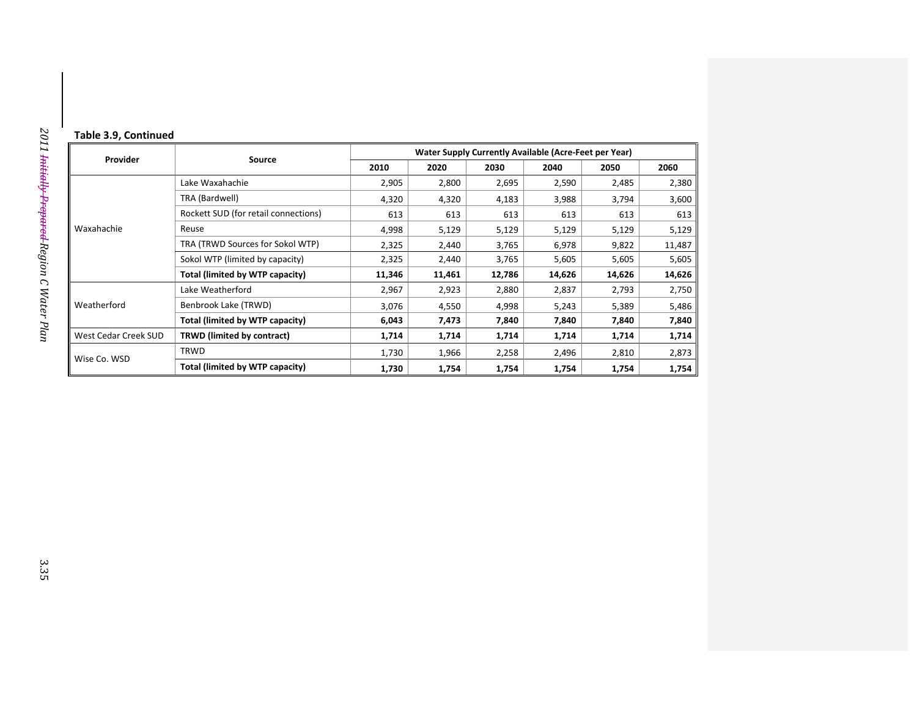#### **Table 3.9, Continued**

|                      |                                      | Water Supply Currently Available (Acre-Feet per Year) |        |        |        |                                                                                                                          |        |
|----------------------|--------------------------------------|-------------------------------------------------------|--------|--------|--------|--------------------------------------------------------------------------------------------------------------------------|--------|
| Provider             | Source                               | 2010                                                  | 2020   | 2030   | 2040   | 2050<br>2,485<br>3,794<br>613<br>5,129<br>9,822<br>5,605<br>14,626<br>2,793<br>5,389<br>7,840<br>1,714<br>2,810<br>1,754 | 2060   |
| Waxahachie           | Lake Waxahachie                      | 2,905                                                 | 2,800  | 2,695  | 2,590  |                                                                                                                          | 2,380  |
|                      | TRA (Bardwell)                       | 4,320                                                 | 4,320  | 4,183  | 3,988  |                                                                                                                          | 3,600  |
|                      | Rockett SUD (for retail connections) | 613                                                   | 613    | 613    | 613    |                                                                                                                          | 613    |
|                      | Reuse                                | 4,998                                                 | 5,129  | 5,129  | 5,129  |                                                                                                                          | 5,129  |
|                      | TRA (TRWD Sources for Sokol WTP)     | 2,325                                                 | 2,440  | 3,765  | 6,978  |                                                                                                                          | 11,487 |
|                      | Sokol WTP (limited by capacity)      | 2,325                                                 | 2,440  | 3,765  | 5,605  |                                                                                                                          | 5,605  |
|                      | Total (limited by WTP capacity)      | 11,346                                                | 11,461 | 12,786 | 14,626 |                                                                                                                          | 14,626 |
|                      | Lake Weatherford                     | 2,967                                                 | 2,923  | 2,880  | 2,837  |                                                                                                                          | 2,750  |
| Weatherford          | Benbrook Lake (TRWD)                 | 3,076                                                 | 4,550  | 4,998  | 5,243  |                                                                                                                          | 5,486  |
|                      | Total (limited by WTP capacity)      | 6,043                                                 | 7,473  | 7,840  | 7,840  |                                                                                                                          | 7,840  |
| West Cedar Creek SUD | TRWD (limited by contract)           | 1,714                                                 | 1,714  | 1,714  | 1,714  |                                                                                                                          | 1,714  |
| Wise Co. WSD         | <b>TRWD</b>                          | 1,730                                                 | 1,966  | 2,258  | 2,496  |                                                                                                                          | 2,873  |
|                      | Total (limited by WTP capacity)      | 1,730                                                 | 1,754  | 1,754  | 1,754  |                                                                                                                          | 1,754  |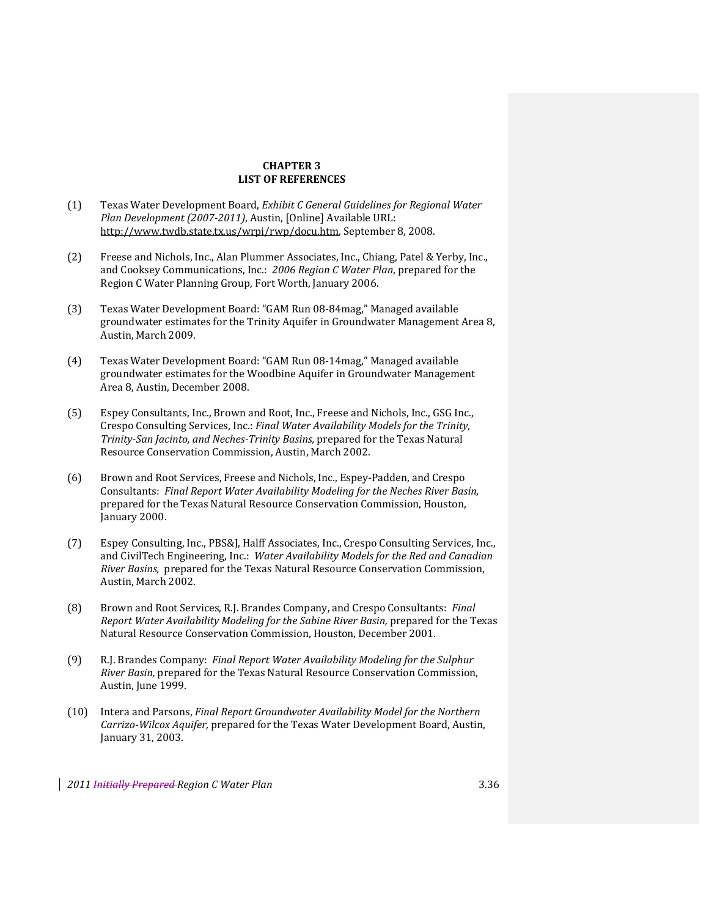## **CHAPTER 3 LIST OF REFERENCES**

- (1) Texas Water Development Board, *Exhibit C General Guidelines for Regional Water Plan Development (20072011)*, Austin, [Online] Available URL: http://www.twdb.state.tx.us/wrpi/rwp/docu.htm, September 8, 2008.
- (2) Freese and Nichols, Inc., Alan Plummer Associates, Inc., Chiang, Patel & Yerby, Inc., and Cooksey Communications, Inc.: *2006 Region C Water Plan*, prepared for the Region C Water Planning Group, Fort Worth, January 2006.
- (3) Texas Water Development Board: "GAM Run 08‐84mag," Managed available groundwater estimates for the Trinity Aquifer in Groundwater Management Area 8, Austin, March 2009.
- (4) Texas Water Development Board: "GAM Run 08‐14mag," Managed available groundwater estimates for the Woodbine Aquifer in Groundwater Management Area 8, Austin, December 2008.
- (5) Espey Consultants, Inc., Brown and Root, Inc., Freese and Nichols, Inc., GSG Inc., Crespo Consulting Services, Inc.: *Final Water Availability Models for the Trinity, TrinitySan Jacinto, and NechesTrinity Basins,* prepared for the Texas Natural Resource Conservation Commission, Austin, March 2002.
- (6) Brown and Root Services, Freese and Nichols, Inc., Espey‐Padden, and Crespo Consultants: *Final Report Water Availability Modeling for the Neches River Basin,* prepared for the Texas Natural Resource Conservation Commission, Houston, January 2000.
- (7) Espey Consulting, Inc., PBS&J, Halff Associates, Inc., Crespo Consulting Services, Inc., and CivilTech Engineering, Inc.: *Water Availability Models for the Red and Canadian River Basins,* prepared for the Texas Natural Resource Conservation Commission, Austin, March 2002.
- (8) Brown and Root Services, R.J. Brandes Company, and Crespo Consultants: *Final Report Water Availability Modeling for the Sabine River Basin,* prepared for the Texas Natural Resource Conservation Commission, Houston, December 2001.
- (9) R.J. Brandes Company: *Final Report Water Availability Modeling for the Sulphur River Basin,* prepared for the Texas Natural Resource Conservation Commission, Austin, June 1999.
- (10) Intera and Parsons, *Final Report Groundwater Availability Model for the Northern CarrizoWilcox Aquifer,* prepared for the Texas Water Development Board, Austin, January 31, 2003.